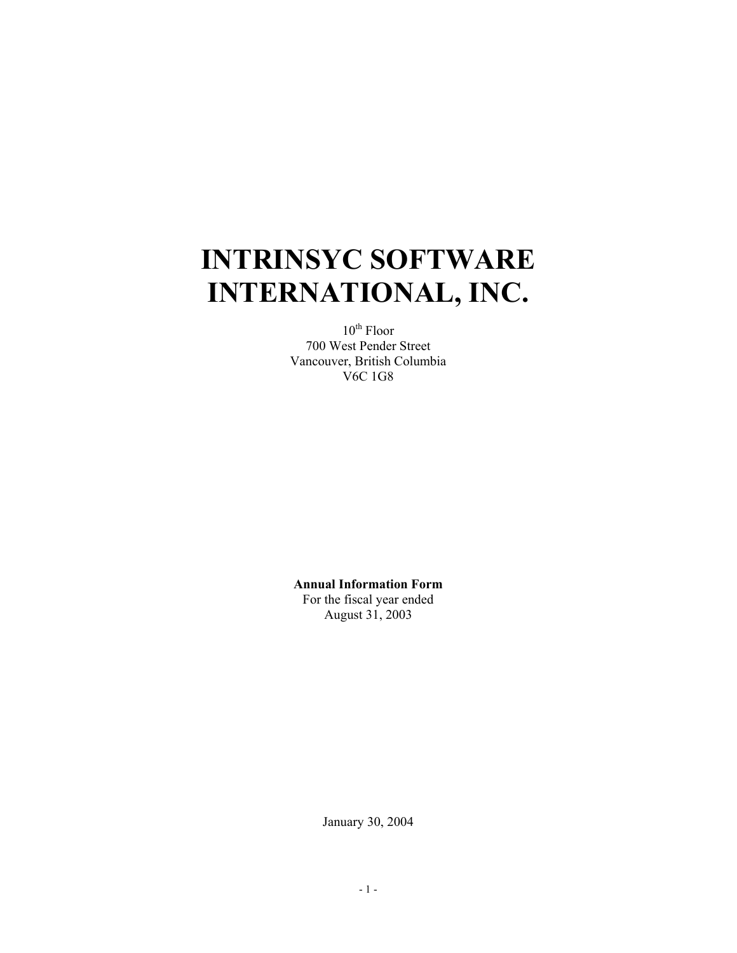# **INTRINSYC SOFTWARE INTERNATIONAL, INC.**

 $10^{th}$  Floor 700 West Pender Street Vancouver, British Columbia V6C 1G8

**Annual Information Form**  For the fiscal year ended August 31, 2003

January 30, 2004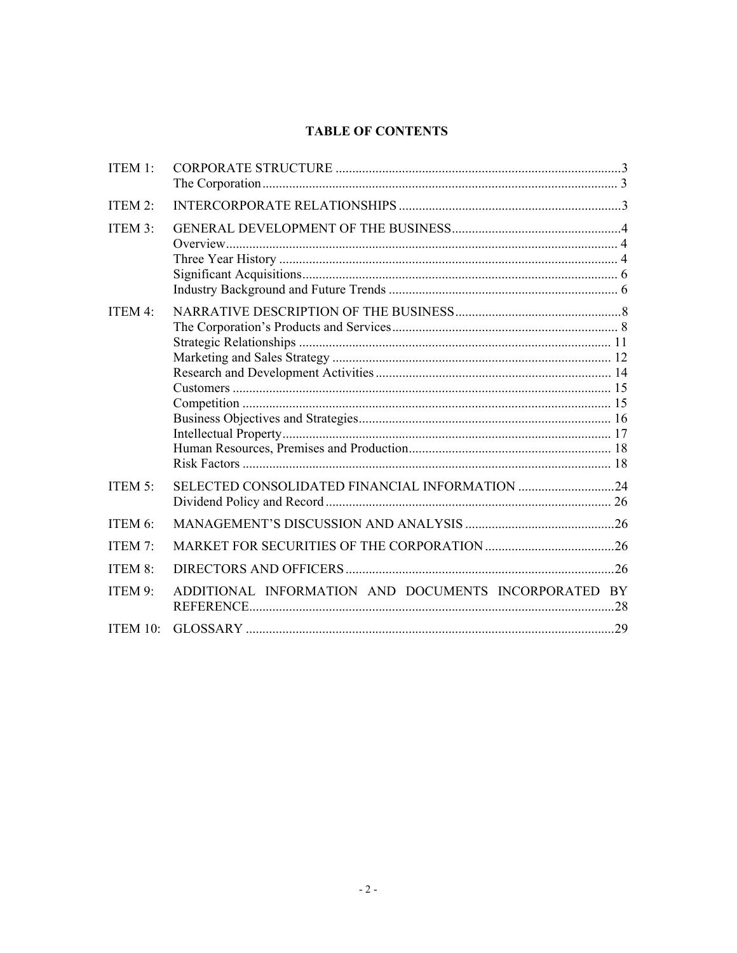# **TABLE OF CONTENTS**

| ITEM 1:    |                                                      |  |
|------------|------------------------------------------------------|--|
| ITEM 2:    |                                                      |  |
| ITEM 3:    |                                                      |  |
| ITEM 4:    |                                                      |  |
| ITEM $5$ : |                                                      |  |
| ITEM 6:    |                                                      |  |
| ITEM 7:    |                                                      |  |
| ITEM 8:    |                                                      |  |
| ITEM 9:    | ADDITIONAL INFORMATION AND DOCUMENTS INCORPORATED BY |  |
| ITEM 10:   |                                                      |  |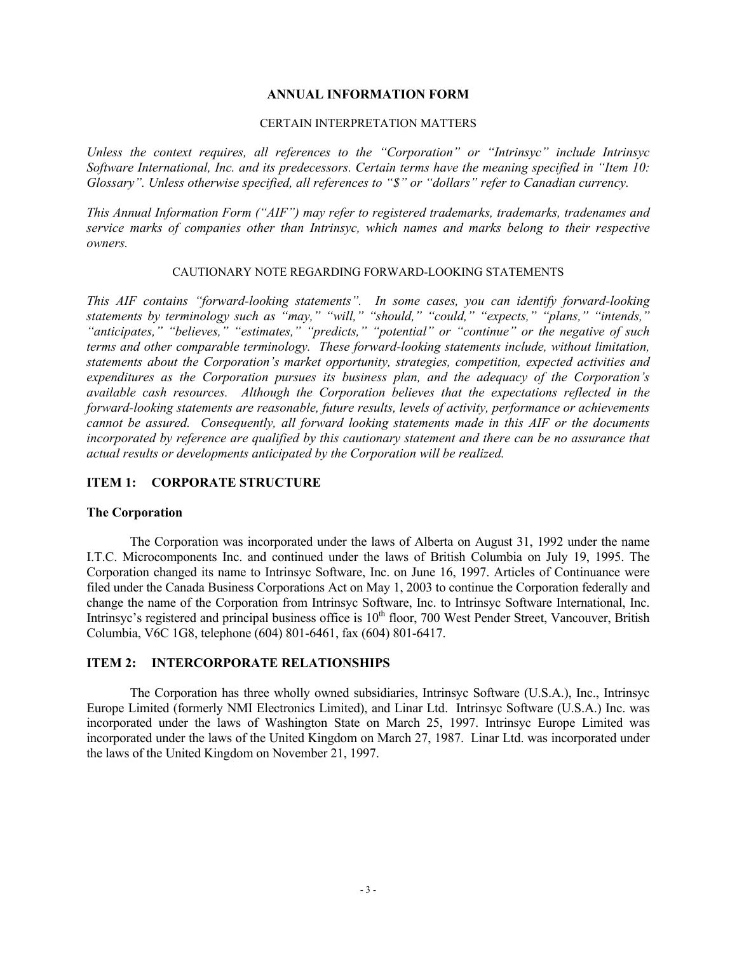## **ANNUAL INFORMATION FORM**

#### CERTAIN INTERPRETATION MATTERS

*Unless the context requires, all references to the "Corporation" or "Intrinsyc" include Intrinsyc Software International, Inc. and its predecessors. Certain terms have the meaning specified in "Item 10: Glossary". Unless otherwise specified, all references to "\$" or "dollars" refer to Canadian currency.* 

*This Annual Information Form ("AIF") may refer to registered trademarks, trademarks, tradenames and service marks of companies other than Intrinsyc, which names and marks belong to their respective owners.* 

## CAUTIONARY NOTE REGARDING FORWARD-LOOKING STATEMENTS

*This AIF contains "forward-looking statements". In some cases, you can identify forward-looking statements by terminology such as "may," "will," "should," "could," "expects," "plans," "intends," "anticipates," "believes," "estimates," "predicts," "potential" or "continue" or the negative of such terms and other comparable terminology. These forward-looking statements include, without limitation, statements about the Corporation's market opportunity, strategies, competition, expected activities and expenditures as the Corporation pursues its business plan, and the adequacy of the Corporation's available cash resources. Although the Corporation believes that the expectations reflected in the forward-looking statements are reasonable, future results, levels of activity, performance or achievements cannot be assured. Consequently, all forward looking statements made in this AIF or the documents incorporated by reference are qualified by this cautionary statement and there can be no assurance that actual results or developments anticipated by the Corporation will be realized.* 

## **ITEM 1: CORPORATE STRUCTURE**

#### **The Corporation**

The Corporation was incorporated under the laws of Alberta on August 31, 1992 under the name I.T.C. Microcomponents Inc. and continued under the laws of British Columbia on July 19, 1995. The Corporation changed its name to Intrinsyc Software, Inc. on June 16, 1997. Articles of Continuance were filed under the Canada Business Corporations Act on May 1, 2003 to continue the Corporation federally and change the name of the Corporation from Intrinsyc Software, Inc. to Intrinsyc Software International, Inc. Intrinsyc's registered and principal business office is  $10<sup>th</sup>$  floor, 700 West Pender Street, Vancouver, British Columbia, V6C 1G8, telephone (604) 801-6461, fax (604) 801-6417.

#### **ITEM 2: INTERCORPORATE RELATIONSHIPS**

The Corporation has three wholly owned subsidiaries, Intrinsyc Software (U.S.A.), Inc., Intrinsyc Europe Limited (formerly NMI Electronics Limited), and Linar Ltd. Intrinsyc Software (U.S.A.) Inc. was incorporated under the laws of Washington State on March 25, 1997. Intrinsyc Europe Limited was incorporated under the laws of the United Kingdom on March 27, 1987. Linar Ltd. was incorporated under the laws of the United Kingdom on November 21, 1997.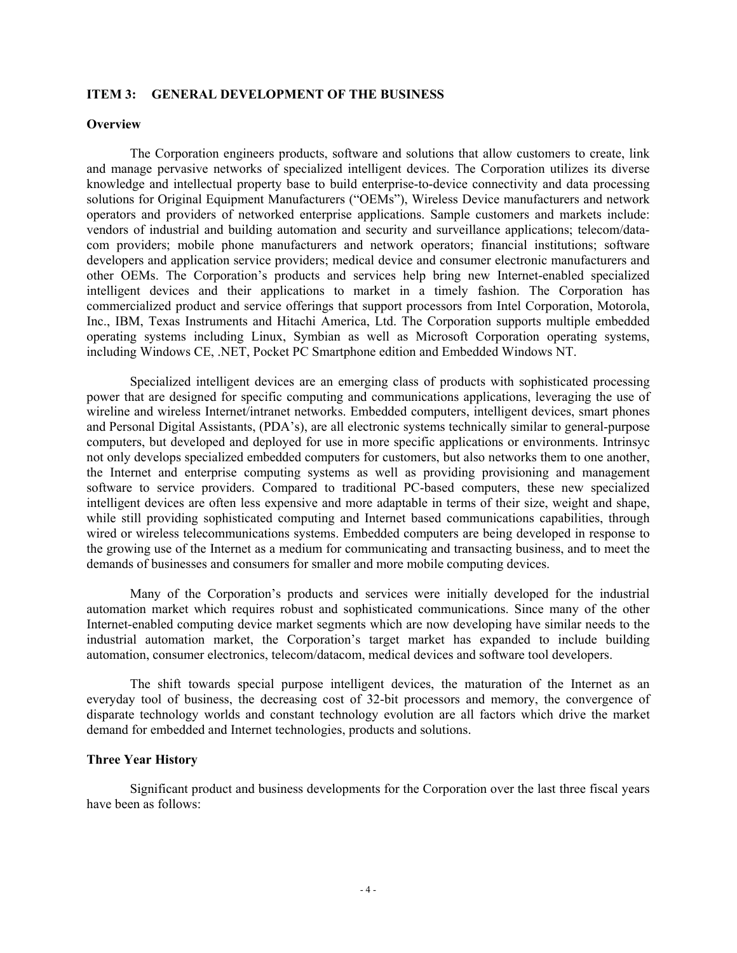#### **ITEM 3: GENERAL DEVELOPMENT OF THE BUSINESS**

#### **Overview**

The Corporation engineers products, software and solutions that allow customers to create, link and manage pervasive networks of specialized intelligent devices. The Corporation utilizes its diverse knowledge and intellectual property base to build enterprise-to-device connectivity and data processing solutions for Original Equipment Manufacturers ("OEMs"), Wireless Device manufacturers and network operators and providers of networked enterprise applications. Sample customers and markets include: vendors of industrial and building automation and security and surveillance applications; telecom/datacom providers; mobile phone manufacturers and network operators; financial institutions; software developers and application service providers; medical device and consumer electronic manufacturers and other OEMs. The Corporation's products and services help bring new Internet-enabled specialized intelligent devices and their applications to market in a timely fashion. The Corporation has commercialized product and service offerings that support processors from Intel Corporation, Motorola, Inc., IBM, Texas Instruments and Hitachi America, Ltd. The Corporation supports multiple embedded operating systems including Linux, Symbian as well as Microsoft Corporation operating systems, including Windows CE, .NET, Pocket PC Smartphone edition and Embedded Windows NT.

Specialized intelligent devices are an emerging class of products with sophisticated processing power that are designed for specific computing and communications applications, leveraging the use of wireline and wireless Internet/intranet networks. Embedded computers, intelligent devices, smart phones and Personal Digital Assistants, (PDA's), are all electronic systems technically similar to general-purpose computers, but developed and deployed for use in more specific applications or environments. Intrinsyc not only develops specialized embedded computers for customers, but also networks them to one another, the Internet and enterprise computing systems as well as providing provisioning and management software to service providers. Compared to traditional PC-based computers, these new specialized intelligent devices are often less expensive and more adaptable in terms of their size, weight and shape, while still providing sophisticated computing and Internet based communications capabilities, through wired or wireless telecommunications systems. Embedded computers are being developed in response to the growing use of the Internet as a medium for communicating and transacting business, and to meet the demands of businesses and consumers for smaller and more mobile computing devices.

Many of the Corporation's products and services were initially developed for the industrial automation market which requires robust and sophisticated communications. Since many of the other Internet-enabled computing device market segments which are now developing have similar needs to the industrial automation market, the Corporation's target market has expanded to include building automation, consumer electronics, telecom/datacom, medical devices and software tool developers.

The shift towards special purpose intelligent devices, the maturation of the Internet as an everyday tool of business, the decreasing cost of 32-bit processors and memory, the convergence of disparate technology worlds and constant technology evolution are all factors which drive the market demand for embedded and Internet technologies, products and solutions.

#### **Three Year History**

Significant product and business developments for the Corporation over the last three fiscal years have been as follows: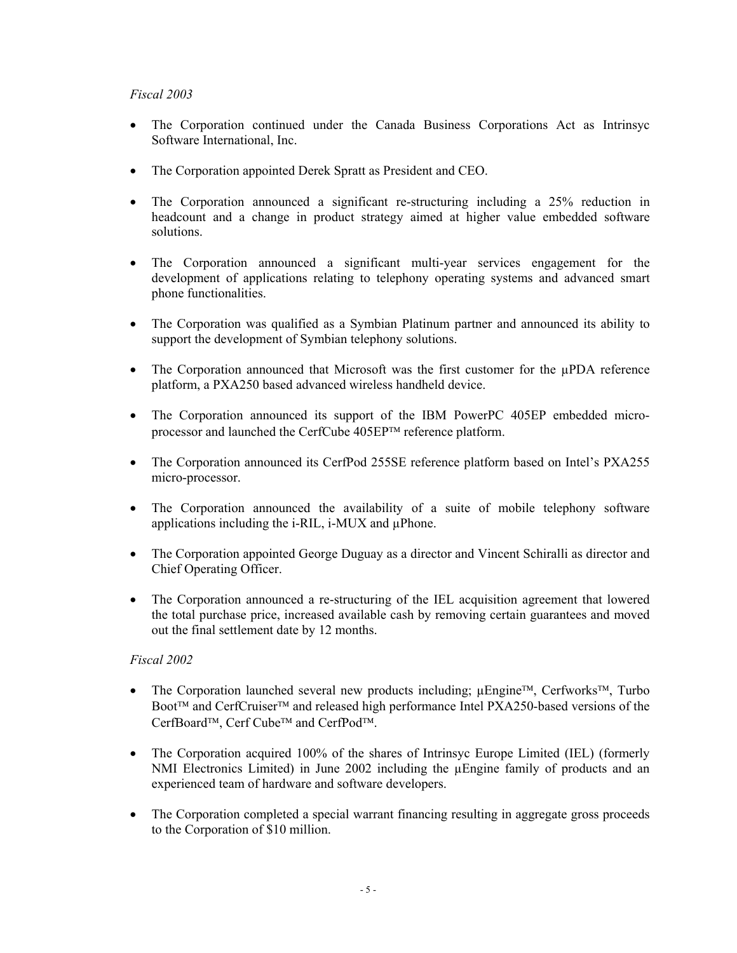## *Fiscal 2003*

- The Corporation continued under the Canada Business Corporations Act as Intrinsyc Software International, Inc.
- The Corporation appointed Derek Spratt as President and CEO.
- The Corporation announced a significant re-structuring including a 25% reduction in headcount and a change in product strategy aimed at higher value embedded software solutions.
- The Corporation announced a significant multi-year services engagement for the development of applications relating to telephony operating systems and advanced smart phone functionalities.
- The Corporation was qualified as a Symbian Platinum partner and announced its ability to support the development of Symbian telephony solutions.
- The Corporation announced that Microsoft was the first customer for the µPDA reference platform, a PXA250 based advanced wireless handheld device.
- The Corporation announced its support of the IBM PowerPC 405EP embedded microprocessor and launched the CerfCube 405EPTM reference platform.
- The Corporation announced its CerfPod 255SE reference platform based on Intel's PXA255 micro-processor.
- The Corporation announced the availability of a suite of mobile telephony software applications including the i-RIL, i-MUX and µPhone.
- The Corporation appointed George Duguay as a director and Vincent Schiralli as director and Chief Operating Officer.
- The Corporation announced a re-structuring of the IEL acquisition agreement that lowered the total purchase price, increased available cash by removing certain guarantees and moved out the final settlement date by 12 months.

## *Fiscal 2002*

- The Corporation launched several new products including;  $\mu$ Engine<sup>TM</sup>, Cerfworks<sup>TM</sup>, Turbo Boot<sup>™</sup> and CerfCruiser<sup>™</sup> and released high performance Intel PXA250-based versions of the CerfBoard<sup>TM</sup>, Cerf Cube<sup>TM</sup> and CerfPod<sup>TM</sup>.
- The Corporation acquired 100% of the shares of Intrinsyc Europe Limited (IEL) (formerly NMI Electronics Limited) in June 2002 including the µEngine family of products and an experienced team of hardware and software developers.
- The Corporation completed a special warrant financing resulting in aggregate gross proceeds to the Corporation of \$10 million.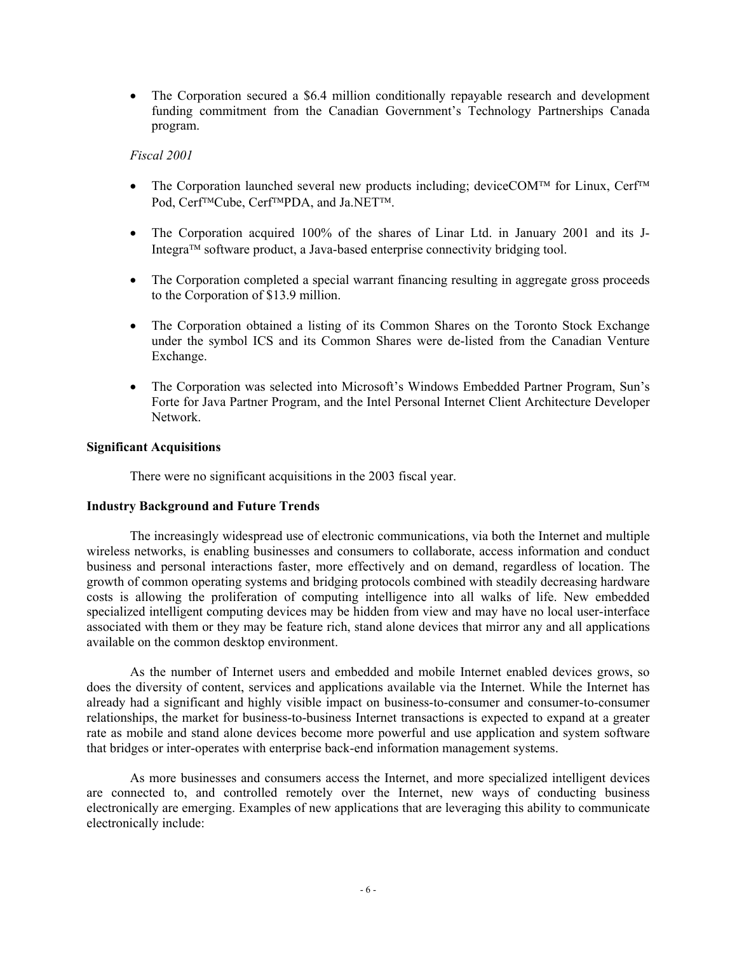• The Corporation secured a \$6.4 million conditionally repayable research and development funding commitment from the Canadian Government's Technology Partnerships Canada program.

## *Fiscal 2001*

- The Corporation launched several new products including; deviceCOM<sup>TM</sup> for Linux, Cerf<sup>TM</sup> Pod, Cerf<sup>TM</sup>Cube, Cerf<sup>TM</sup>PDA, and Ja.NET<sup>TM</sup>.
- The Corporation acquired 100% of the shares of Linar Ltd. in January 2001 and its J-Integra<sup> $TM$ </sup> software product, a Java-based enterprise connectivity bridging tool.
- The Corporation completed a special warrant financing resulting in aggregate gross proceeds to the Corporation of \$13.9 million.
- The Corporation obtained a listing of its Common Shares on the Toronto Stock Exchange under the symbol ICS and its Common Shares were de-listed from the Canadian Venture Exchange.
- The Corporation was selected into Microsoft's Windows Embedded Partner Program, Sun's Forte for Java Partner Program, and the Intel Personal Internet Client Architecture Developer Network.

## **Significant Acquisitions**

There were no significant acquisitions in the 2003 fiscal year.

## **Industry Background and Future Trends**

The increasingly widespread use of electronic communications, via both the Internet and multiple wireless networks, is enabling businesses and consumers to collaborate, access information and conduct business and personal interactions faster, more effectively and on demand, regardless of location. The growth of common operating systems and bridging protocols combined with steadily decreasing hardware costs is allowing the proliferation of computing intelligence into all walks of life. New embedded specialized intelligent computing devices may be hidden from view and may have no local user-interface associated with them or they may be feature rich, stand alone devices that mirror any and all applications available on the common desktop environment.

As the number of Internet users and embedded and mobile Internet enabled devices grows, so does the diversity of content, services and applications available via the Internet. While the Internet has already had a significant and highly visible impact on business-to-consumer and consumer-to-consumer relationships, the market for business-to-business Internet transactions is expected to expand at a greater rate as mobile and stand alone devices become more powerful and use application and system software that bridges or inter-operates with enterprise back-end information management systems.

As more businesses and consumers access the Internet, and more specialized intelligent devices are connected to, and controlled remotely over the Internet, new ways of conducting business electronically are emerging. Examples of new applications that are leveraging this ability to communicate electronically include: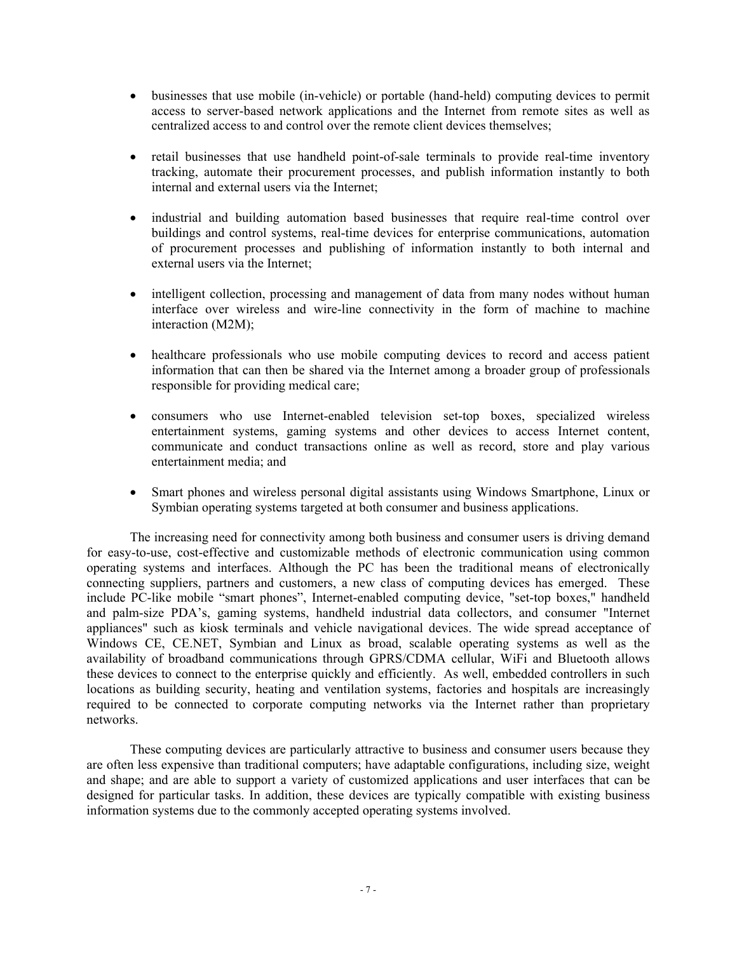- businesses that use mobile (in-vehicle) or portable (hand-held) computing devices to permit access to server-based network applications and the Internet from remote sites as well as centralized access to and control over the remote client devices themselves;
- retail businesses that use handheld point-of-sale terminals to provide real-time inventory tracking, automate their procurement processes, and publish information instantly to both internal and external users via the Internet;
- industrial and building automation based businesses that require real-time control over buildings and control systems, real-time devices for enterprise communications, automation of procurement processes and publishing of information instantly to both internal and external users via the Internet;
- intelligent collection, processing and management of data from many nodes without human interface over wireless and wire-line connectivity in the form of machine to machine interaction (M2M);
- healthcare professionals who use mobile computing devices to record and access patient information that can then be shared via the Internet among a broader group of professionals responsible for providing medical care;
- consumers who use Internet-enabled television set-top boxes, specialized wireless entertainment systems, gaming systems and other devices to access Internet content, communicate and conduct transactions online as well as record, store and play various entertainment media; and
- Smart phones and wireless personal digital assistants using Windows Smartphone, Linux or Symbian operating systems targeted at both consumer and business applications.

The increasing need for connectivity among both business and consumer users is driving demand for easy-to-use, cost-effective and customizable methods of electronic communication using common operating systems and interfaces. Although the PC has been the traditional means of electronically connecting suppliers, partners and customers, a new class of computing devices has emerged. These include PC-like mobile "smart phones", Internet-enabled computing device, "set-top boxes," handheld and palm-size PDA's, gaming systems, handheld industrial data collectors, and consumer "Internet appliances" such as kiosk terminals and vehicle navigational devices. The wide spread acceptance of Windows CE, CE.NET, Symbian and Linux as broad, scalable operating systems as well as the availability of broadband communications through GPRS/CDMA cellular, WiFi and Bluetooth allows these devices to connect to the enterprise quickly and efficiently. As well, embedded controllers in such locations as building security, heating and ventilation systems, factories and hospitals are increasingly required to be connected to corporate computing networks via the Internet rather than proprietary networks.

These computing devices are particularly attractive to business and consumer users because they are often less expensive than traditional computers; have adaptable configurations, including size, weight and shape; and are able to support a variety of customized applications and user interfaces that can be designed for particular tasks. In addition, these devices are typically compatible with existing business information systems due to the commonly accepted operating systems involved.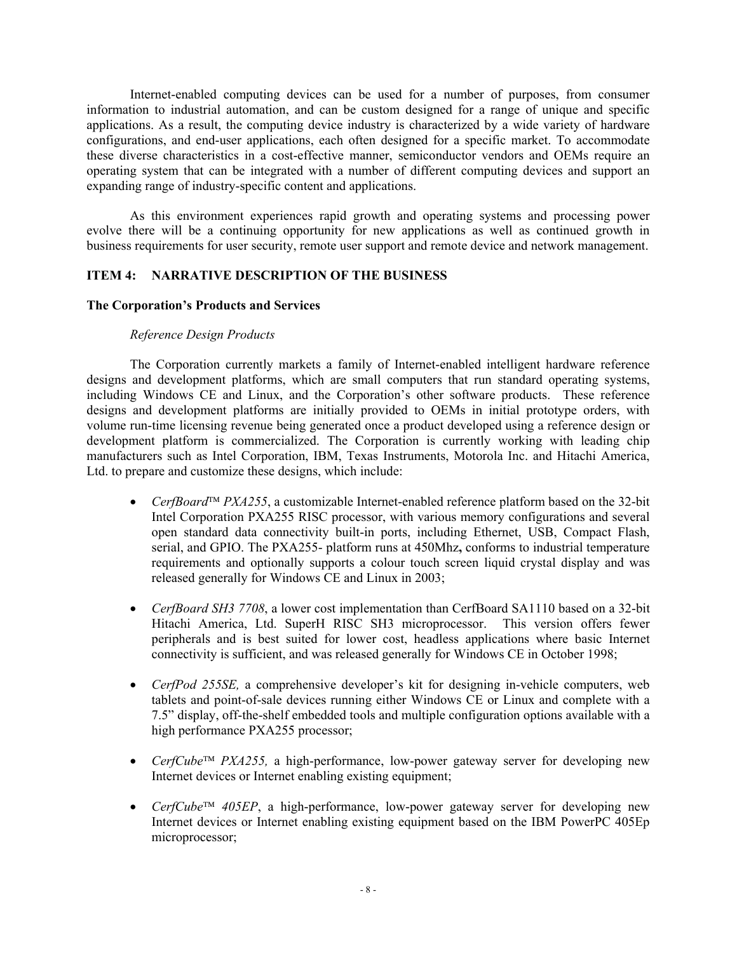Internet-enabled computing devices can be used for a number of purposes, from consumer information to industrial automation, and can be custom designed for a range of unique and specific applications. As a result, the computing device industry is characterized by a wide variety of hardware configurations, and end-user applications, each often designed for a specific market. To accommodate these diverse characteristics in a cost-effective manner, semiconductor vendors and OEMs require an operating system that can be integrated with a number of different computing devices and support an expanding range of industry-specific content and applications.

As this environment experiences rapid growth and operating systems and processing power evolve there will be a continuing opportunity for new applications as well as continued growth in business requirements for user security, remote user support and remote device and network management.

## **ITEM 4: NARRATIVE DESCRIPTION OF THE BUSINESS**

## **The Corporation's Products and Services**

## *Reference Design Products*

The Corporation currently markets a family of Internet-enabled intelligent hardware reference designs and development platforms, which are small computers that run standard operating systems, including Windows CE and Linux, and the Corporation's other software products. These reference designs and development platforms are initially provided to OEMs in initial prototype orders, with volume run-time licensing revenue being generated once a product developed using a reference design or development platform is commercialized. The Corporation is currently working with leading chip manufacturers such as Intel Corporation, IBM, Texas Instruments, Motorola Inc. and Hitachi America, Ltd. to prepare and customize these designs, which include:

- *CerfBoard*<sup> $TM$ </sup> *PXA255*, a customizable Internet-enabled reference platform based on the 32-bit Intel Corporation PXA255 RISC processor, with various memory configurations and several open standard data connectivity built-in ports, including Ethernet, USB, Compact Flash, serial, and GPIO. The PXA255- platform runs at 450Mhz**,** conforms to industrial temperature requirements and optionally supports a colour touch screen liquid crystal display and was released generally for Windows CE and Linux in 2003;
- *CerfBoard SH3 7708*, a lower cost implementation than CerfBoard SA1110 based on a 32-bit Hitachi America, Ltd. SuperH RISC SH3 microprocessor. This version offers fewer peripherals and is best suited for lower cost, headless applications where basic Internet connectivity is sufficient, and was released generally for Windows CE in October 1998;
- *CerfPod 255SE,* a comprehensive developer's kit for designing in-vehicle computers, web tablets and point-of-sale devices running either Windows CE or Linux and complete with a 7.5" display, off-the-shelf embedded tools and multiple configuration options available with a high performance PXA255 processor;
- *CerfCube*<sup>TM</sup> *PXA255*, a high-performance, low-power gateway server for developing new Internet devices or Internet enabling existing equipment;
- *CerfCube*<sup> $TM$ </sup> 405EP, a high-performance, low-power gateway server for developing new Internet devices or Internet enabling existing equipment based on the IBM PowerPC 405Ep microprocessor;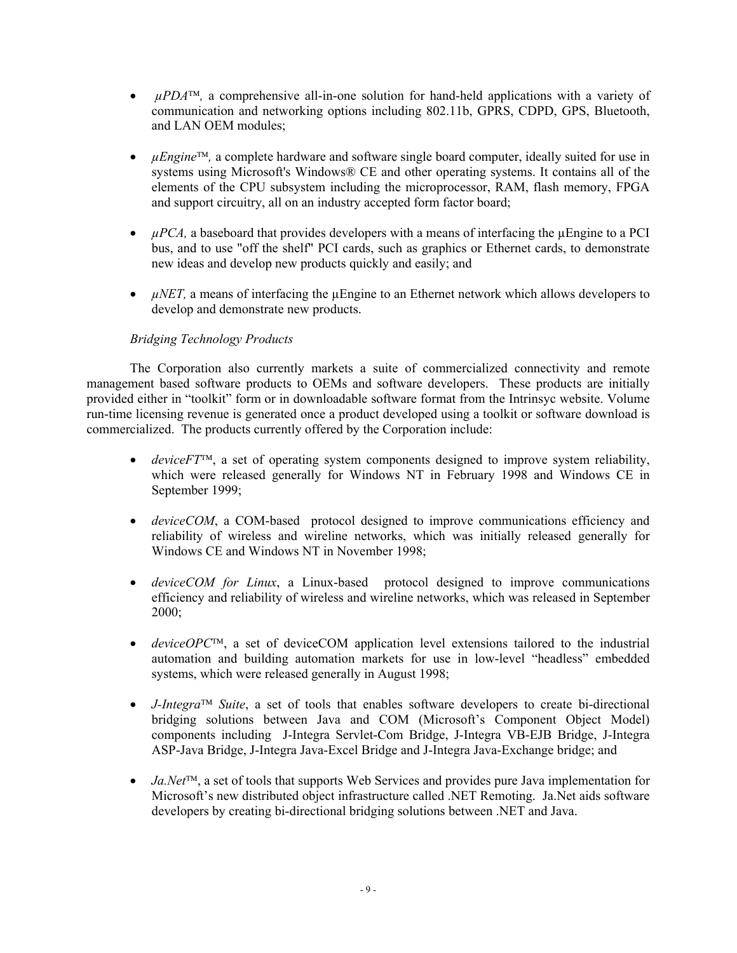- $\mu PDA^{\text{TM}}$ , a comprehensive all-in-one solution for hand-held applications with a variety of communication and networking options including 802.11b, GPRS, CDPD, GPS, Bluetooth, and LAN OEM modules;
- *uEngine*<sup>TM</sup>, a complete hardware and software single board computer, ideally suited for use in systems using Microsoft's Windows® CE and other operating systems. It contains all of the elements of the CPU subsystem including the microprocessor, RAM, flash memory, FPGA and support circuitry, all on an industry accepted form factor board;
- *µPCA*, a baseboard that provides developers with a means of interfacing the µEngine to a PCI bus, and to use "off the shelf" PCI cards, such as graphics or Ethernet cards, to demonstrate new ideas and develop new products quickly and easily; and
- $\mu$ *NET*, a means of interfacing the  $\mu$ Engine to an Ethernet network which allows developers to develop and demonstrate new products.

## *Bridging Technology Products*

The Corporation also currently markets a suite of commercialized connectivity and remote management based software products to OEMs and software developers. These products are initially provided either in "toolkit" form or in downloadable software format from the Intrinsyc website. Volume run-time licensing revenue is generated once a product developed using a toolkit or software download is commercialized. The products currently offered by the Corporation include:

- $\bullet$  *deviceFT*<sup> $\text{m}$ </sup>, a set of operating system components designed to improve system reliability, which were released generally for Windows NT in February 1998 and Windows CE in September 1999;
- *deviceCOM*, a COM-based protocol designed to improve communications efficiency and reliability of wireless and wireline networks, which was initially released generally for Windows CE and Windows NT in November 1998;
- *deviceCOM for Linux*, a Linux-based protocol designed to improve communications efficiency and reliability of wireless and wireline networks, which was released in September 2000;
- *deviceOPC*<sup>TM</sup>, a set of deviceCOM application level extensions tailored to the industrial automation and building automation markets for use in low-level "headless" embedded systems, which were released generally in August 1998;
- *J-Integra*<sup> $TM$ </sup> *Suite*, a set of tools that enables software developers to create bi-directional bridging solutions between Java and COM (Microsoft's Component Object Model) components including J-Integra Servlet-Com Bridge, J-Integra VB-EJB Bridge, J-Integra ASP-Java Bridge, J-Integra Java-Excel Bridge and J-Integra Java-Exchange bridge; and
- *Ja.Net*<sup>TM</sup>, a set of tools that supports Web Services and provides pure Java implementation for Microsoft's new distributed object infrastructure called .NET Remoting. Ja.Net aids software developers by creating bi-directional bridging solutions between .NET and Java.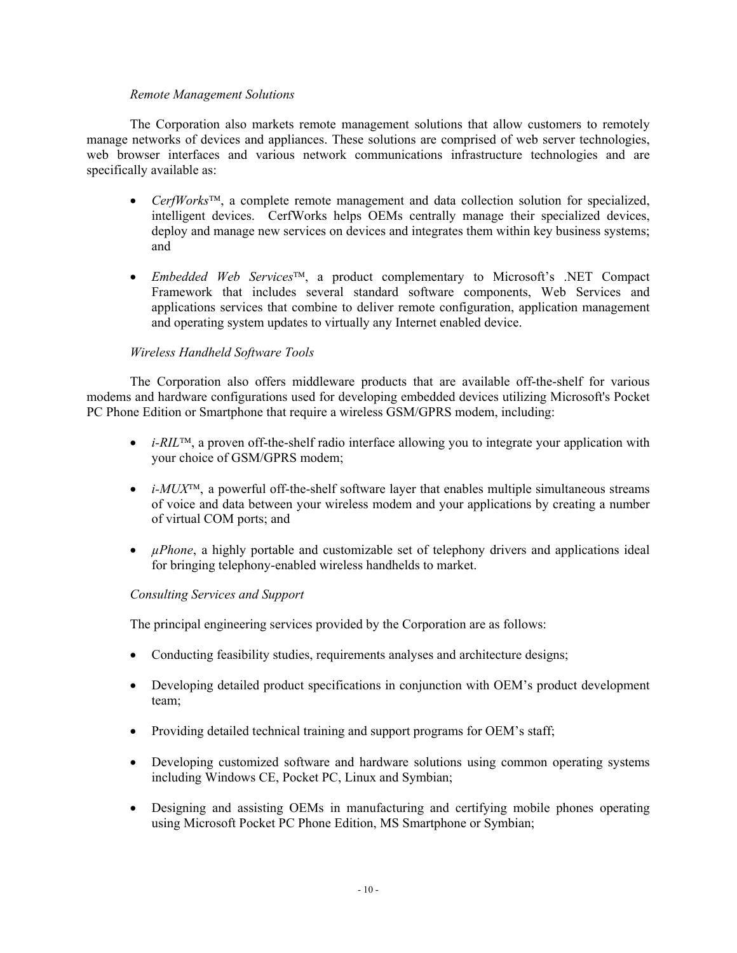## *Remote Management Solutions*

The Corporation also markets remote management solutions that allow customers to remotely manage networks of devices and appliances. These solutions are comprised of web server technologies, web browser interfaces and various network communications infrastructure technologies and are specifically available as:

- *CerfWorks*<sup>TM</sup>, a complete remote management and data collection solution for specialized, intelligent devices. CerfWorks helps OEMs centrally manage their specialized devices, deploy and manage new services on devices and integrates them within key business systems; and
- *Embedded Web Services*, a product complementary to Microsoft's .NET Compact Framework that includes several standard software components, Web Services and applications services that combine to deliver remote configuration, application management and operating system updates to virtually any Internet enabled device.

## *Wireless Handheld Software Tools*

The Corporation also offers middleware products that are available off-the-shelf for various modems and hardware configurations used for developing embedded devices utilizing Microsoft's Pocket PC Phone Edition or Smartphone that require a wireless GSM/GPRS modem, including:

- *i-RIL*<sup>TM</sup>, a proven off-the-shelf radio interface allowing you to integrate your application with your choice of GSM/GPRS modem;
- $\bullet$  *i-MUX<sup>TM</sup>*, a powerful off-the-shelf software layer that enables multiple simultaneous streams of voice and data between your wireless modem and your applications by creating a number of virtual COM ports; and
- *µPhone*, a highly portable and customizable set of telephony drivers and applications ideal for bringing telephony-enabled wireless handhelds to market.

## *Consulting Services and Support*

The principal engineering services provided by the Corporation are as follows:

- Conducting feasibility studies, requirements analyses and architecture designs;
- Developing detailed product specifications in conjunction with OEM's product development team;
- Providing detailed technical training and support programs for OEM's staff;
- Developing customized software and hardware solutions using common operating systems including Windows CE, Pocket PC, Linux and Symbian;
- Designing and assisting OEMs in manufacturing and certifying mobile phones operating using Microsoft Pocket PC Phone Edition, MS Smartphone or Symbian;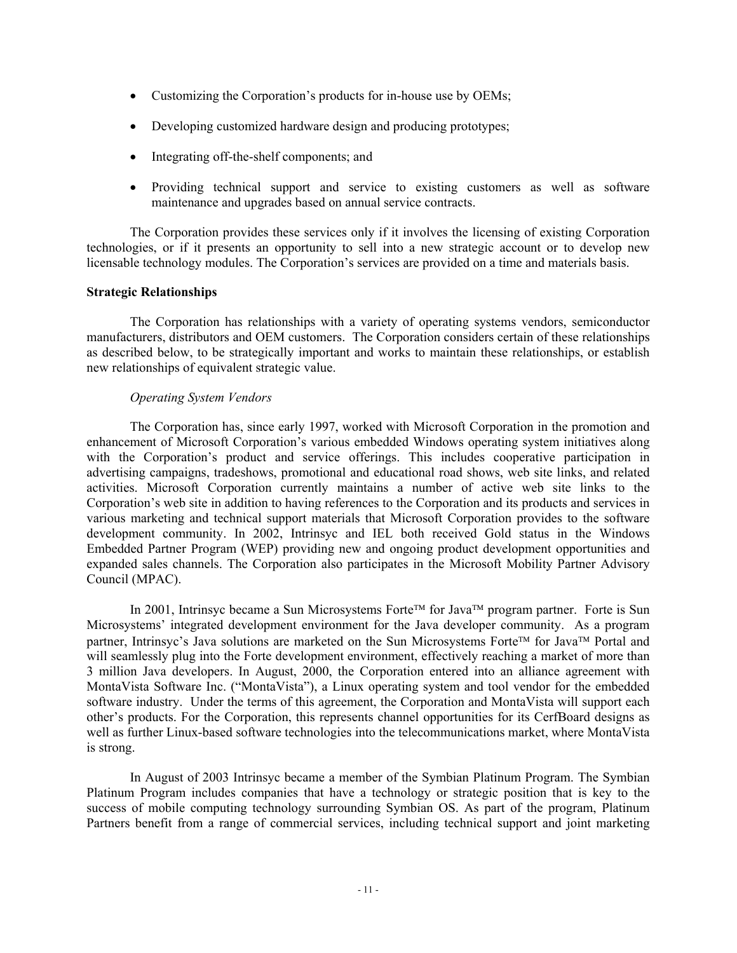- Customizing the Corporation's products for in-house use by OEMs;
- Developing customized hardware design and producing prototypes;
- Integrating off-the-shelf components; and
- Providing technical support and service to existing customers as well as software maintenance and upgrades based on annual service contracts.

The Corporation provides these services only if it involves the licensing of existing Corporation technologies, or if it presents an opportunity to sell into a new strategic account or to develop new licensable technology modules. The Corporation's services are provided on a time and materials basis.

## **Strategic Relationships**

The Corporation has relationships with a variety of operating systems vendors, semiconductor manufacturers, distributors and OEM customers. The Corporation considers certain of these relationships as described below, to be strategically important and works to maintain these relationships, or establish new relationships of equivalent strategic value.

## *Operating System Vendors*

The Corporation has, since early 1997, worked with Microsoft Corporation in the promotion and enhancement of Microsoft Corporation's various embedded Windows operating system initiatives along with the Corporation's product and service offerings. This includes cooperative participation in advertising campaigns, tradeshows, promotional and educational road shows, web site links, and related activities. Microsoft Corporation currently maintains a number of active web site links to the Corporation's web site in addition to having references to the Corporation and its products and services in various marketing and technical support materials that Microsoft Corporation provides to the software development community. In 2002, Intrinsyc and IEL both received Gold status in the Windows Embedded Partner Program (WEP) providing new and ongoing product development opportunities and expanded sales channels. The Corporation also participates in the Microsoft Mobility Partner Advisory Council (MPAC).

In 2001, Intrinsyc became a Sun Microsystems Forte<sup>TM</sup> for Java<sup>TM</sup> program partner. Forte is Sun Microsystems' integrated development environment for the Java developer community. As a program partner, Intrinsyc's Java solutions are marketed on the Sun Microsystems Forte<sup>TM</sup> for Java<sup>TM</sup> Portal and will seamlessly plug into the Forte development environment, effectively reaching a market of more than 3 million Java developers. In August, 2000, the Corporation entered into an alliance agreement with MontaVista Software Inc. ("MontaVista"), a Linux operating system and tool vendor for the embedded software industry. Under the terms of this agreement, the Corporation and MontaVista will support each other's products. For the Corporation, this represents channel opportunities for its CerfBoard designs as well as further Linux-based software technologies into the telecommunications market, where MontaVista is strong.

In August of 2003 Intrinsyc became a member of the Symbian Platinum Program. The Symbian Platinum Program includes companies that have a technology or strategic position that is key to the success of mobile computing technology surrounding Symbian OS. As part of the program, Platinum Partners benefit from a range of commercial services, including technical support and joint marketing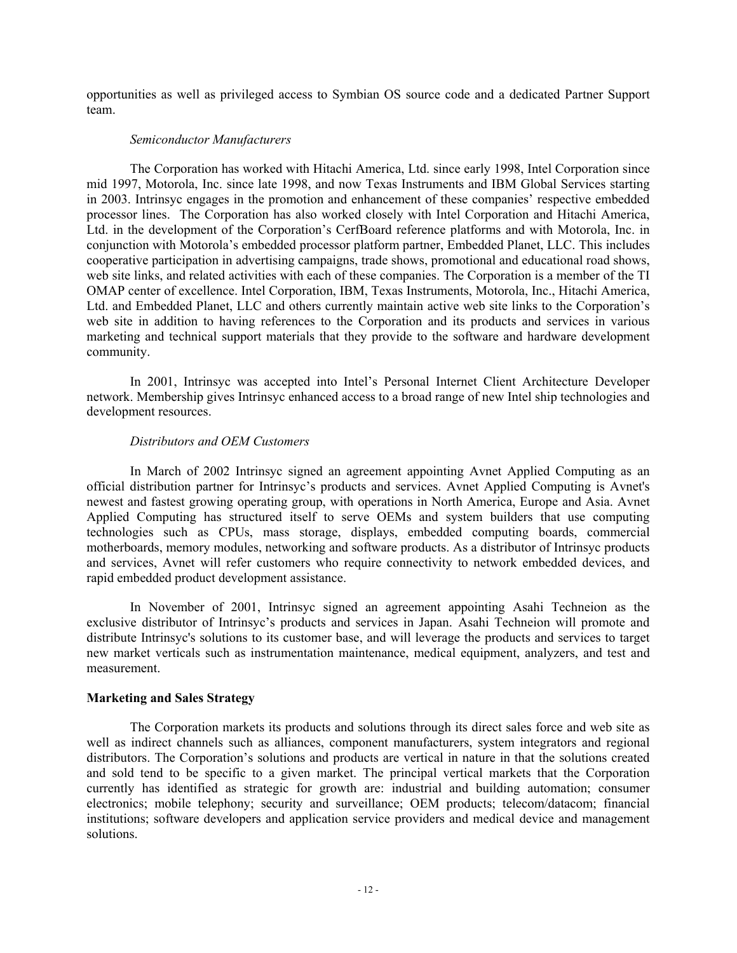opportunities as well as privileged access to Symbian OS source code and a dedicated Partner Support team.

## *Semiconductor Manufacturers*

The Corporation has worked with Hitachi America, Ltd. since early 1998, Intel Corporation since mid 1997, Motorola, Inc. since late 1998, and now Texas Instruments and IBM Global Services starting in 2003. Intrinsyc engages in the promotion and enhancement of these companies' respective embedded processor lines. The Corporation has also worked closely with Intel Corporation and Hitachi America, Ltd. in the development of the Corporation's CerfBoard reference platforms and with Motorola, Inc. in conjunction with Motorola's embedded processor platform partner, Embedded Planet, LLC. This includes cooperative participation in advertising campaigns, trade shows, promotional and educational road shows, web site links, and related activities with each of these companies. The Corporation is a member of the TI OMAP center of excellence. Intel Corporation, IBM, Texas Instruments, Motorola, Inc., Hitachi America, Ltd. and Embedded Planet, LLC and others currently maintain active web site links to the Corporation's web site in addition to having references to the Corporation and its products and services in various marketing and technical support materials that they provide to the software and hardware development community.

In 2001, Intrinsyc was accepted into Intel's Personal Internet Client Architecture Developer network. Membership gives Intrinsyc enhanced access to a broad range of new Intel ship technologies and development resources.

## *Distributors and OEM Customers*

In March of 2002 Intrinsyc signed an agreement appointing Avnet Applied Computing as an official distribution partner for Intrinsyc's products and services. Avnet Applied Computing is Avnet's newest and fastest growing operating group, with operations in North America, Europe and Asia. Avnet Applied Computing has structured itself to serve OEMs and system builders that use computing technologies such as CPUs, mass storage, displays, embedded computing boards, commercial motherboards, memory modules, networking and software products. As a distributor of Intrinsyc products and services, Avnet will refer customers who require connectivity to network embedded devices, and rapid embedded product development assistance.

In November of 2001, Intrinsyc signed an agreement appointing Asahi Techneion as the exclusive distributor of Intrinsyc's products and services in Japan. Asahi Techneion will promote and distribute Intrinsyc's solutions to its customer base, and will leverage the products and services to target new market verticals such as instrumentation maintenance, medical equipment, analyzers, and test and measurement.

## **Marketing and Sales Strategy**

The Corporation markets its products and solutions through its direct sales force and web site as well as indirect channels such as alliances, component manufacturers, system integrators and regional distributors. The Corporation's solutions and products are vertical in nature in that the solutions created and sold tend to be specific to a given market. The principal vertical markets that the Corporation currently has identified as strategic for growth are: industrial and building automation; consumer electronics; mobile telephony; security and surveillance; OEM products; telecom/datacom; financial institutions; software developers and application service providers and medical device and management solutions.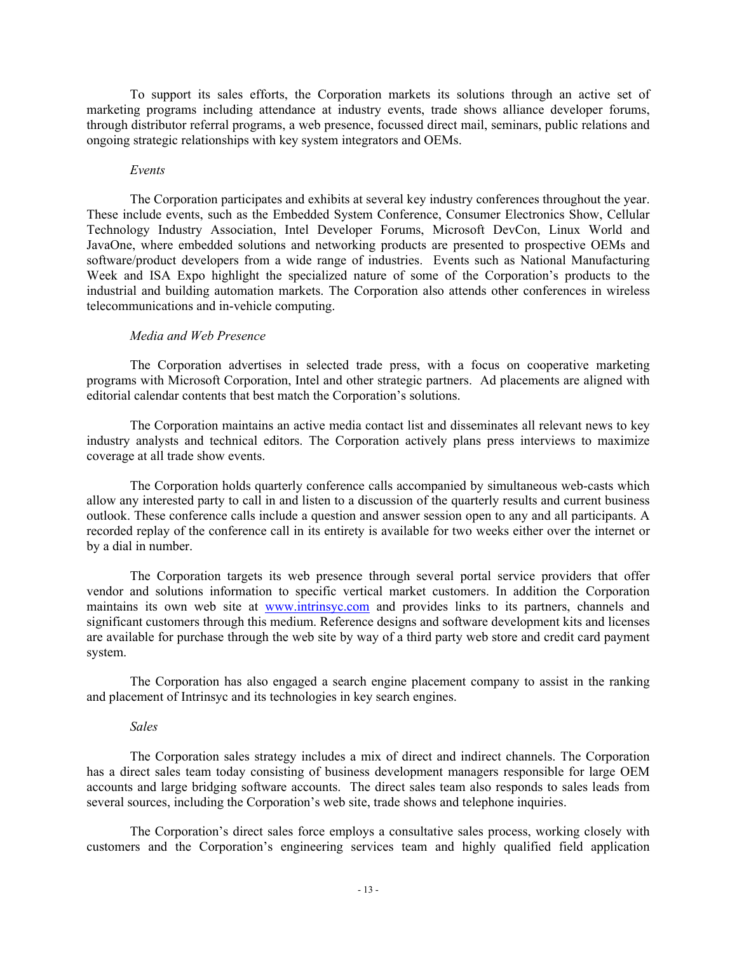To support its sales efforts, the Corporation markets its solutions through an active set of marketing programs including attendance at industry events, trade shows alliance developer forums, through distributor referral programs, a web presence, focussed direct mail, seminars, public relations and ongoing strategic relationships with key system integrators and OEMs.

#### *Events*

The Corporation participates and exhibits at several key industry conferences throughout the year. These include events, such as the Embedded System Conference, Consumer Electronics Show, Cellular Technology Industry Association, Intel Developer Forums, Microsoft DevCon, Linux World and JavaOne, where embedded solutions and networking products are presented to prospective OEMs and software/product developers from a wide range of industries. Events such as National Manufacturing Week and ISA Expo highlight the specialized nature of some of the Corporation's products to the industrial and building automation markets. The Corporation also attends other conferences in wireless telecommunications and in-vehicle computing.

#### *Media and Web Presence*

The Corporation advertises in selected trade press, with a focus on cooperative marketing programs with Microsoft Corporation, Intel and other strategic partners. Ad placements are aligned with editorial calendar contents that best match the Corporation's solutions.

The Corporation maintains an active media contact list and disseminates all relevant news to key industry analysts and technical editors. The Corporation actively plans press interviews to maximize coverage at all trade show events.

The Corporation holds quarterly conference calls accompanied by simultaneous web-casts which allow any interested party to call in and listen to a discussion of the quarterly results and current business outlook. These conference calls include a question and answer session open to any and all participants. A recorded replay of the conference call in its entirety is available for two weeks either over the internet or by a dial in number.

The Corporation targets its web presence through several portal service providers that offer vendor and solutions information to specific vertical market customers. In addition the Corporation maintains its own web site at www.intrinsyc.com and provides links to its partners, channels and significant customers through this medium. Reference designs and software development kits and licenses are available for purchase through the web site by way of a third party web store and credit card payment system.

The Corporation has also engaged a search engine placement company to assist in the ranking and placement of Intrinsyc and its technologies in key search engines.

#### *Sales*

The Corporation sales strategy includes a mix of direct and indirect channels. The Corporation has a direct sales team today consisting of business development managers responsible for large OEM accounts and large bridging software accounts. The direct sales team also responds to sales leads from several sources, including the Corporation's web site, trade shows and telephone inquiries.

The Corporation's direct sales force employs a consultative sales process, working closely with customers and the Corporation's engineering services team and highly qualified field application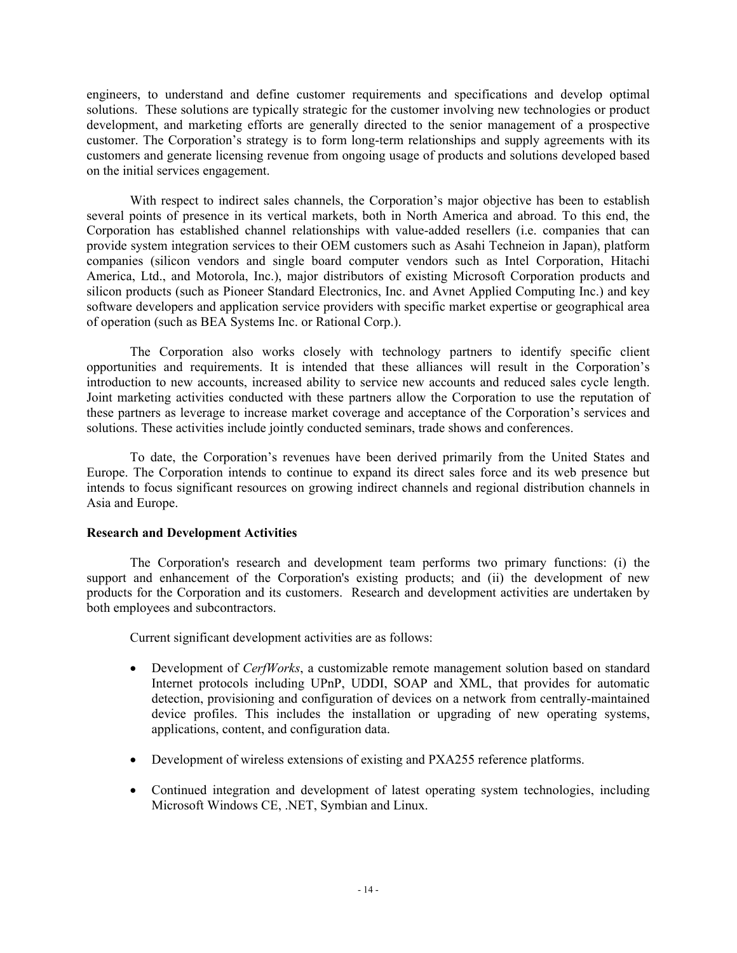engineers, to understand and define customer requirements and specifications and develop optimal solutions. These solutions are typically strategic for the customer involving new technologies or product development, and marketing efforts are generally directed to the senior management of a prospective customer. The Corporation's strategy is to form long-term relationships and supply agreements with its customers and generate licensing revenue from ongoing usage of products and solutions developed based on the initial services engagement.

With respect to indirect sales channels, the Corporation's major objective has been to establish several points of presence in its vertical markets, both in North America and abroad. To this end, the Corporation has established channel relationships with value-added resellers (i.e. companies that can provide system integration services to their OEM customers such as Asahi Techneion in Japan), platform companies (silicon vendors and single board computer vendors such as Intel Corporation, Hitachi America, Ltd., and Motorola, Inc.), major distributors of existing Microsoft Corporation products and silicon products (such as Pioneer Standard Electronics, Inc. and Avnet Applied Computing Inc.) and key software developers and application service providers with specific market expertise or geographical area of operation (such as BEA Systems Inc. or Rational Corp.).

The Corporation also works closely with technology partners to identify specific client opportunities and requirements. It is intended that these alliances will result in the Corporation's introduction to new accounts, increased ability to service new accounts and reduced sales cycle length. Joint marketing activities conducted with these partners allow the Corporation to use the reputation of these partners as leverage to increase market coverage and acceptance of the Corporation's services and solutions. These activities include jointly conducted seminars, trade shows and conferences.

To date, the Corporation's revenues have been derived primarily from the United States and Europe. The Corporation intends to continue to expand its direct sales force and its web presence but intends to focus significant resources on growing indirect channels and regional distribution channels in Asia and Europe.

## **Research and Development Activities**

The Corporation's research and development team performs two primary functions: (i) the support and enhancement of the Corporation's existing products; and (ii) the development of new products for the Corporation and its customers. Research and development activities are undertaken by both employees and subcontractors.

Current significant development activities are as follows:

- Development of *CerfWorks*, a customizable remote management solution based on standard Internet protocols including UPnP, UDDI, SOAP and XML, that provides for automatic detection, provisioning and configuration of devices on a network from centrally-maintained device profiles. This includes the installation or upgrading of new operating systems, applications, content, and configuration data.
- Development of wireless extensions of existing and PXA255 reference platforms.
- Continued integration and development of latest operating system technologies, including Microsoft Windows CE, .NET, Symbian and Linux.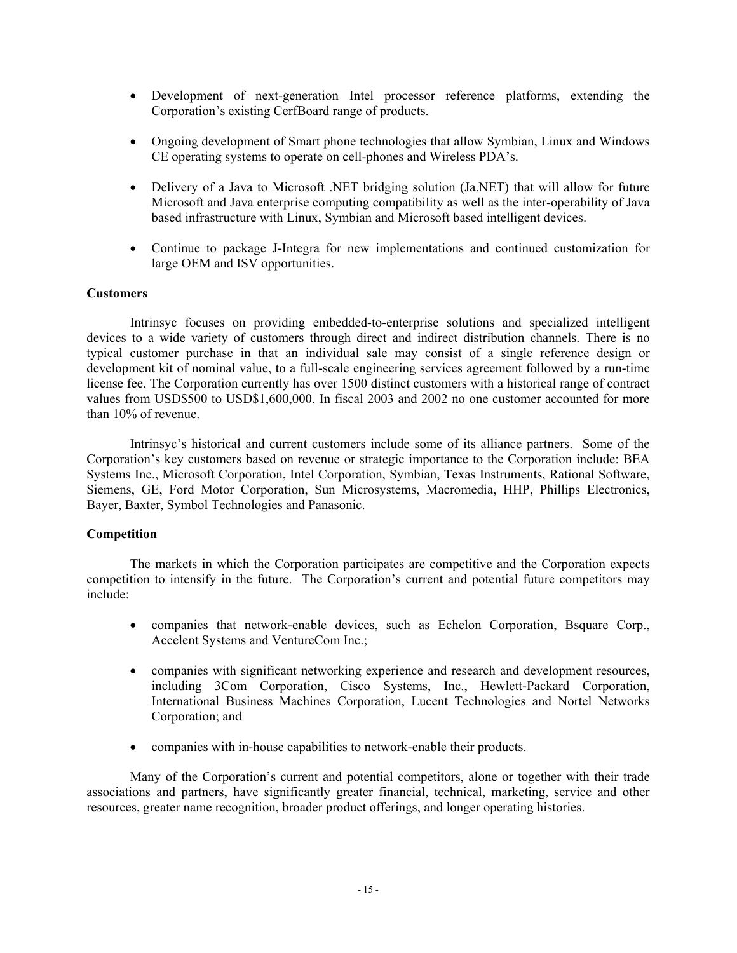- Development of next-generation Intel processor reference platforms, extending the Corporation's existing CerfBoard range of products.
- Ongoing development of Smart phone technologies that allow Symbian, Linux and Windows CE operating systems to operate on cell-phones and Wireless PDA's.
- Delivery of a Java to Microsoft .NET bridging solution (Ja.NET) that will allow for future Microsoft and Java enterprise computing compatibility as well as the inter-operability of Java based infrastructure with Linux, Symbian and Microsoft based intelligent devices.
- Continue to package J-Integra for new implementations and continued customization for large OEM and ISV opportunities.

## **Customers**

Intrinsyc focuses on providing embedded-to-enterprise solutions and specialized intelligent devices to a wide variety of customers through direct and indirect distribution channels. There is no typical customer purchase in that an individual sale may consist of a single reference design or development kit of nominal value, to a full-scale engineering services agreement followed by a run-time license fee. The Corporation currently has over 1500 distinct customers with a historical range of contract values from USD\$500 to USD\$1,600,000. In fiscal 2003 and 2002 no one customer accounted for more than 10% of revenue.

Intrinsyc's historical and current customers include some of its alliance partners. Some of the Corporation's key customers based on revenue or strategic importance to the Corporation include: BEA Systems Inc., Microsoft Corporation, Intel Corporation, Symbian, Texas Instruments, Rational Software, Siemens, GE, Ford Motor Corporation, Sun Microsystems, Macromedia, HHP, Phillips Electronics, Bayer, Baxter, Symbol Technologies and Panasonic.

## **Competition**

The markets in which the Corporation participates are competitive and the Corporation expects competition to intensify in the future. The Corporation's current and potential future competitors may include:

- companies that network-enable devices, such as Echelon Corporation, Bsquare Corp., Accelent Systems and VentureCom Inc.;
- companies with significant networking experience and research and development resources, including 3Com Corporation, Cisco Systems, Inc., Hewlett-Packard Corporation, International Business Machines Corporation, Lucent Technologies and Nortel Networks Corporation; and
- companies with in-house capabilities to network-enable their products.

Many of the Corporation's current and potential competitors, alone or together with their trade associations and partners, have significantly greater financial, technical, marketing, service and other resources, greater name recognition, broader product offerings, and longer operating histories.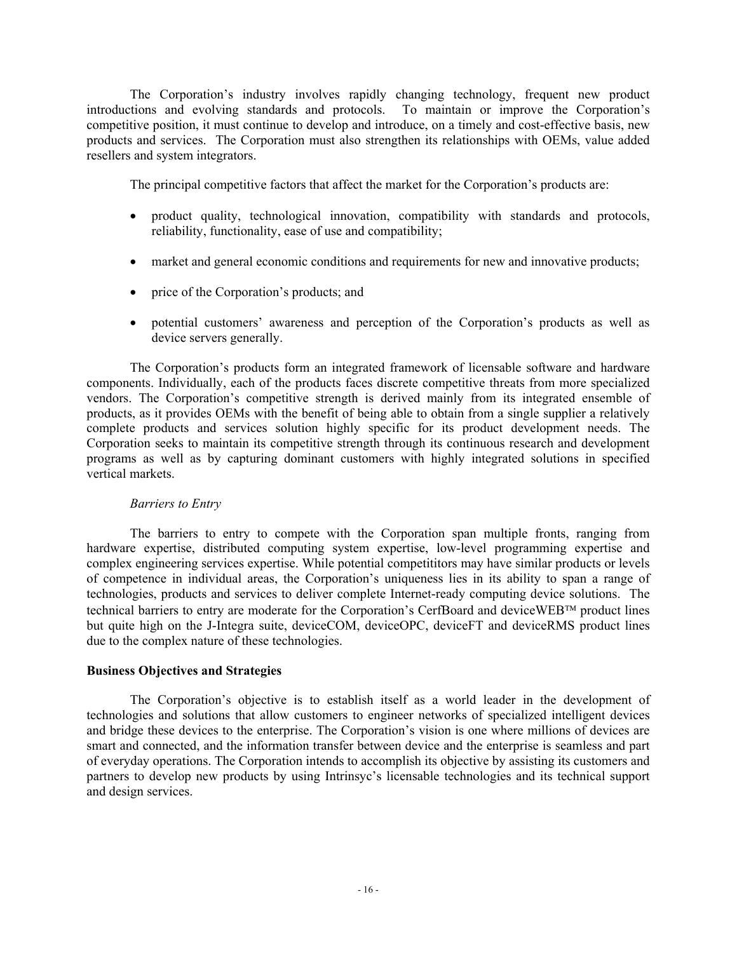The Corporation's industry involves rapidly changing technology, frequent new product introductions and evolving standards and protocols. To maintain or improve the Corporation's competitive position, it must continue to develop and introduce, on a timely and cost-effective basis, new products and services. The Corporation must also strengthen its relationships with OEMs, value added resellers and system integrators.

The principal competitive factors that affect the market for the Corporation's products are:

- product quality, technological innovation, compatibility with standards and protocols, reliability, functionality, ease of use and compatibility;
- market and general economic conditions and requirements for new and innovative products;
- price of the Corporation's products; and
- potential customers' awareness and perception of the Corporation's products as well as device servers generally.

The Corporation's products form an integrated framework of licensable software and hardware components. Individually, each of the products faces discrete competitive threats from more specialized vendors. The Corporation's competitive strength is derived mainly from its integrated ensemble of products, as it provides OEMs with the benefit of being able to obtain from a single supplier a relatively complete products and services solution highly specific for its product development needs. The Corporation seeks to maintain its competitive strength through its continuous research and development programs as well as by capturing dominant customers with highly integrated solutions in specified vertical markets.

## *Barriers to Entry*

The barriers to entry to compete with the Corporation span multiple fronts, ranging from hardware expertise, distributed computing system expertise, low-level programming expertise and complex engineering services expertise. While potential competititors may have similar products or levels of competence in individual areas, the Corporation's uniqueness lies in its ability to span a range of technologies, products and services to deliver complete Internet-ready computing device solutions. The technical barriers to entry are moderate for the Corporation's CerfBoard and deviceWEB™ product lines but quite high on the J-Integra suite, deviceCOM, deviceOPC, deviceFT and deviceRMS product lines due to the complex nature of these technologies.

## **Business Objectives and Strategies**

The Corporation's objective is to establish itself as a world leader in the development of technologies and solutions that allow customers to engineer networks of specialized intelligent devices and bridge these devices to the enterprise. The Corporation's vision is one where millions of devices are smart and connected, and the information transfer between device and the enterprise is seamless and part of everyday operations. The Corporation intends to accomplish its objective by assisting its customers and partners to develop new products by using Intrinsyc's licensable technologies and its technical support and design services.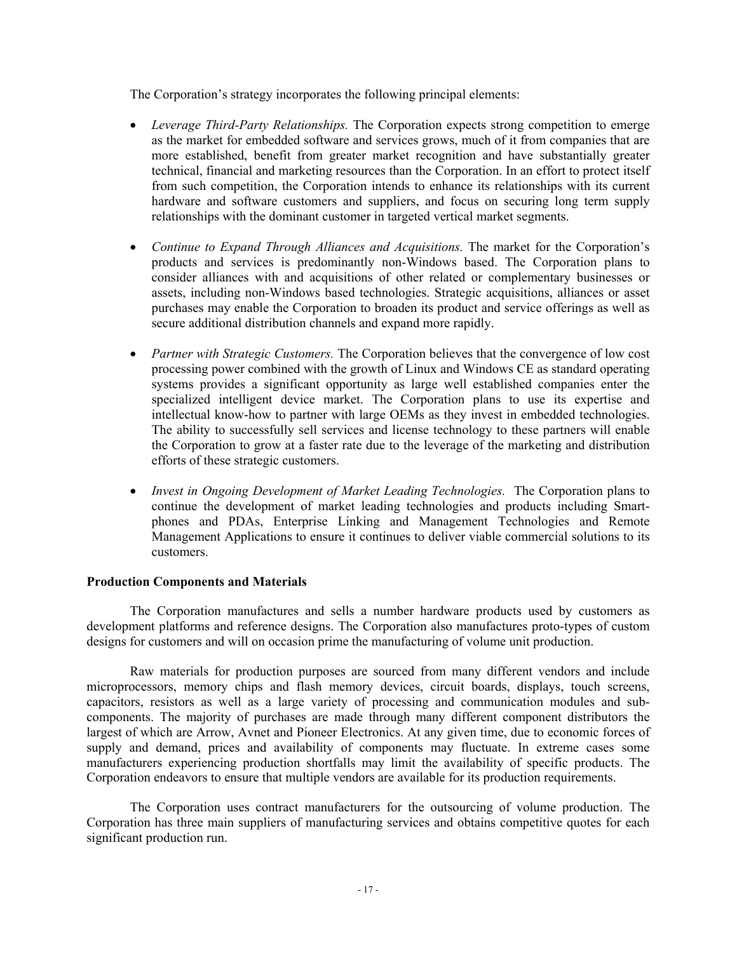The Corporation's strategy incorporates the following principal elements:

- *Leverage Third-Party Relationships.* The Corporation expects strong competition to emerge as the market for embedded software and services grows, much of it from companies that are more established, benefit from greater market recognition and have substantially greater technical, financial and marketing resources than the Corporation. In an effort to protect itself from such competition, the Corporation intends to enhance its relationships with its current hardware and software customers and suppliers, and focus on securing long term supply relationships with the dominant customer in targeted vertical market segments.
- *Continue to Expand Through Alliances and Acquisitions.* The market for the Corporation's products and services is predominantly non-Windows based. The Corporation plans to consider alliances with and acquisitions of other related or complementary businesses or assets, including non-Windows based technologies. Strategic acquisitions, alliances or asset purchases may enable the Corporation to broaden its product and service offerings as well as secure additional distribution channels and expand more rapidly.
- *Partner with Strategic Customers.* The Corporation believes that the convergence of low cost processing power combined with the growth of Linux and Windows CE as standard operating systems provides a significant opportunity as large well established companies enter the specialized intelligent device market. The Corporation plans to use its expertise and intellectual know-how to partner with large OEMs as they invest in embedded technologies. The ability to successfully sell services and license technology to these partners will enable the Corporation to grow at a faster rate due to the leverage of the marketing and distribution efforts of these strategic customers.
- *Invest in Ongoing Development of Market Leading Technologies.* The Corporation plans to continue the development of market leading technologies and products including Smartphones and PDAs, Enterprise Linking and Management Technologies and Remote Management Applications to ensure it continues to deliver viable commercial solutions to its customers.

#### **Production Components and Materials**

The Corporation manufactures and sells a number hardware products used by customers as development platforms and reference designs. The Corporation also manufactures proto-types of custom designs for customers and will on occasion prime the manufacturing of volume unit production.

Raw materials for production purposes are sourced from many different vendors and include microprocessors, memory chips and flash memory devices, circuit boards, displays, touch screens, capacitors, resistors as well as a large variety of processing and communication modules and subcomponents. The majority of purchases are made through many different component distributors the largest of which are Arrow, Avnet and Pioneer Electronics. At any given time, due to economic forces of supply and demand, prices and availability of components may fluctuate. In extreme cases some manufacturers experiencing production shortfalls may limit the availability of specific products. The Corporation endeavors to ensure that multiple vendors are available for its production requirements.

The Corporation uses contract manufacturers for the outsourcing of volume production. The Corporation has three main suppliers of manufacturing services and obtains competitive quotes for each significant production run.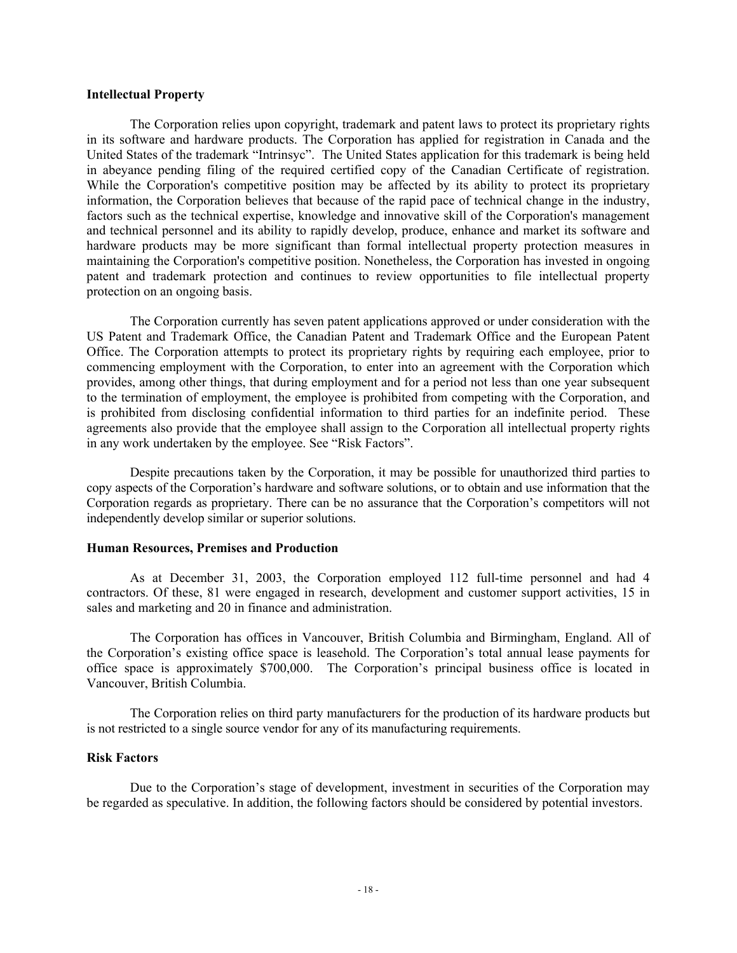#### **Intellectual Property**

The Corporation relies upon copyright, trademark and patent laws to protect its proprietary rights in its software and hardware products. The Corporation has applied for registration in Canada and the United States of the trademark "Intrinsyc". The United States application for this trademark is being held in abeyance pending filing of the required certified copy of the Canadian Certificate of registration. While the Corporation's competitive position may be affected by its ability to protect its proprietary information, the Corporation believes that because of the rapid pace of technical change in the industry, factors such as the technical expertise, knowledge and innovative skill of the Corporation's management and technical personnel and its ability to rapidly develop, produce, enhance and market its software and hardware products may be more significant than formal intellectual property protection measures in maintaining the Corporation's competitive position. Nonetheless, the Corporation has invested in ongoing patent and trademark protection and continues to review opportunities to file intellectual property protection on an ongoing basis.

The Corporation currently has seven patent applications approved or under consideration with the US Patent and Trademark Office, the Canadian Patent and Trademark Office and the European Patent Office. The Corporation attempts to protect its proprietary rights by requiring each employee, prior to commencing employment with the Corporation, to enter into an agreement with the Corporation which provides, among other things, that during employment and for a period not less than one year subsequent to the termination of employment, the employee is prohibited from competing with the Corporation, and is prohibited from disclosing confidential information to third parties for an indefinite period. These agreements also provide that the employee shall assign to the Corporation all intellectual property rights in any work undertaken by the employee. See "Risk Factors".

Despite precautions taken by the Corporation, it may be possible for unauthorized third parties to copy aspects of the Corporation's hardware and software solutions, or to obtain and use information that the Corporation regards as proprietary. There can be no assurance that the Corporation's competitors will not independently develop similar or superior solutions.

#### **Human Resources, Premises and Production**

As at December 31, 2003, the Corporation employed 112 full-time personnel and had 4 contractors. Of these, 81 were engaged in research, development and customer support activities, 15 in sales and marketing and 20 in finance and administration.

The Corporation has offices in Vancouver, British Columbia and Birmingham, England. All of the Corporation's existing office space is leasehold. The Corporation's total annual lease payments for office space is approximately \$700,000. The Corporation's principal business office is located in Vancouver, British Columbia.

The Corporation relies on third party manufacturers for the production of its hardware products but is not restricted to a single source vendor for any of its manufacturing requirements.

#### **Risk Factors**

Due to the Corporation's stage of development, investment in securities of the Corporation may be regarded as speculative. In addition, the following factors should be considered by potential investors.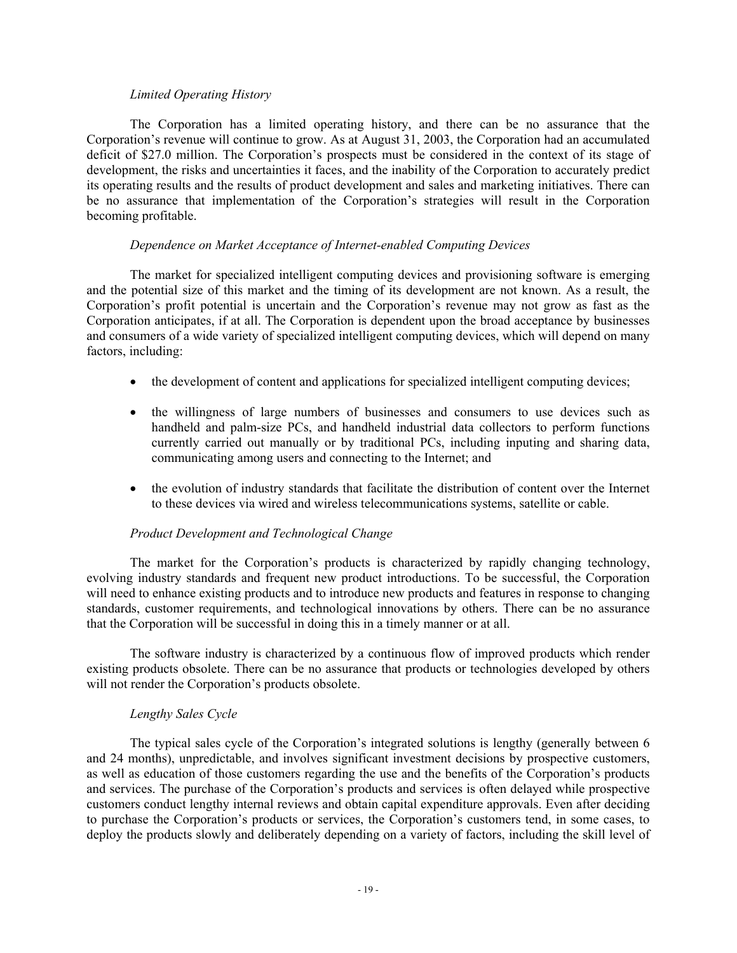## *Limited Operating History*

The Corporation has a limited operating history, and there can be no assurance that the Corporation's revenue will continue to grow. As at August 31, 2003, the Corporation had an accumulated deficit of \$27.0 million. The Corporation's prospects must be considered in the context of its stage of development, the risks and uncertainties it faces, and the inability of the Corporation to accurately predict its operating results and the results of product development and sales and marketing initiatives. There can be no assurance that implementation of the Corporation's strategies will result in the Corporation becoming profitable.

## *Dependence on Market Acceptance of Internet-enabled Computing Devices*

The market for specialized intelligent computing devices and provisioning software is emerging and the potential size of this market and the timing of its development are not known. As a result, the Corporation's profit potential is uncertain and the Corporation's revenue may not grow as fast as the Corporation anticipates, if at all. The Corporation is dependent upon the broad acceptance by businesses and consumers of a wide variety of specialized intelligent computing devices, which will depend on many factors, including:

- the development of content and applications for specialized intelligent computing devices;
- the willingness of large numbers of businesses and consumers to use devices such as handheld and palm-size PCs, and handheld industrial data collectors to perform functions currently carried out manually or by traditional PCs, including inputing and sharing data, communicating among users and connecting to the Internet; and
- the evolution of industry standards that facilitate the distribution of content over the Internet to these devices via wired and wireless telecommunications systems, satellite or cable.

# *Product Development and Technological Change*

The market for the Corporation's products is characterized by rapidly changing technology, evolving industry standards and frequent new product introductions. To be successful, the Corporation will need to enhance existing products and to introduce new products and features in response to changing standards, customer requirements, and technological innovations by others. There can be no assurance that the Corporation will be successful in doing this in a timely manner or at all.

The software industry is characterized by a continuous flow of improved products which render existing products obsolete. There can be no assurance that products or technologies developed by others will not render the Corporation's products obsolete.

## *Lengthy Sales Cycle*

The typical sales cycle of the Corporation's integrated solutions is lengthy (generally between 6 and 24 months), unpredictable, and involves significant investment decisions by prospective customers, as well as education of those customers regarding the use and the benefits of the Corporation's products and services. The purchase of the Corporation's products and services is often delayed while prospective customers conduct lengthy internal reviews and obtain capital expenditure approvals. Even after deciding to purchase the Corporation's products or services, the Corporation's customers tend, in some cases, to deploy the products slowly and deliberately depending on a variety of factors, including the skill level of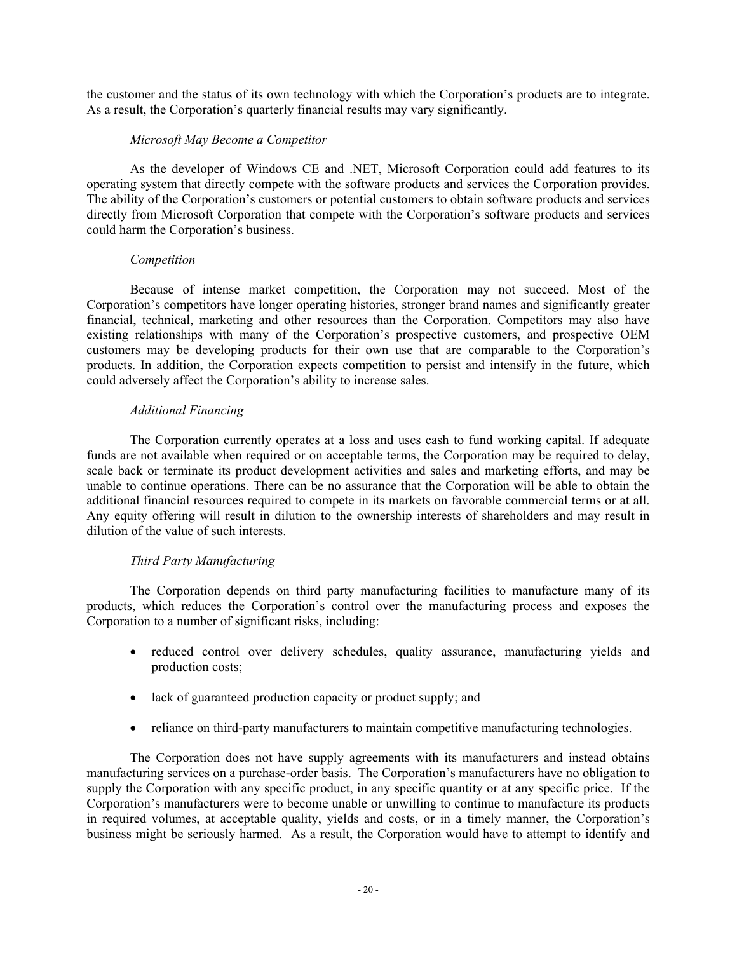the customer and the status of its own technology with which the Corporation's products are to integrate. As a result, the Corporation's quarterly financial results may vary significantly.

## *Microsoft May Become a Competitor*

As the developer of Windows CE and .NET, Microsoft Corporation could add features to its operating system that directly compete with the software products and services the Corporation provides. The ability of the Corporation's customers or potential customers to obtain software products and services directly from Microsoft Corporation that compete with the Corporation's software products and services could harm the Corporation's business.

## *Competition*

Because of intense market competition, the Corporation may not succeed. Most of the Corporation's competitors have longer operating histories, stronger brand names and significantly greater financial, technical, marketing and other resources than the Corporation. Competitors may also have existing relationships with many of the Corporation's prospective customers, and prospective OEM customers may be developing products for their own use that are comparable to the Corporation's products. In addition, the Corporation expects competition to persist and intensify in the future, which could adversely affect the Corporation's ability to increase sales.

## *Additional Financing*

The Corporation currently operates at a loss and uses cash to fund working capital. If adequate funds are not available when required or on acceptable terms, the Corporation may be required to delay, scale back or terminate its product development activities and sales and marketing efforts, and may be unable to continue operations. There can be no assurance that the Corporation will be able to obtain the additional financial resources required to compete in its markets on favorable commercial terms or at all. Any equity offering will result in dilution to the ownership interests of shareholders and may result in dilution of the value of such interests.

## *Third Party Manufacturing*

The Corporation depends on third party manufacturing facilities to manufacture many of its products, which reduces the Corporation's control over the manufacturing process and exposes the Corporation to a number of significant risks, including:

- reduced control over delivery schedules, quality assurance, manufacturing yields and production costs;
- lack of guaranteed production capacity or product supply; and
- reliance on third-party manufacturers to maintain competitive manufacturing technologies.

The Corporation does not have supply agreements with its manufacturers and instead obtains manufacturing services on a purchase-order basis. The Corporation's manufacturers have no obligation to supply the Corporation with any specific product, in any specific quantity or at any specific price. If the Corporation's manufacturers were to become unable or unwilling to continue to manufacture its products in required volumes, at acceptable quality, yields and costs, or in a timely manner, the Corporation's business might be seriously harmed. As a result, the Corporation would have to attempt to identify and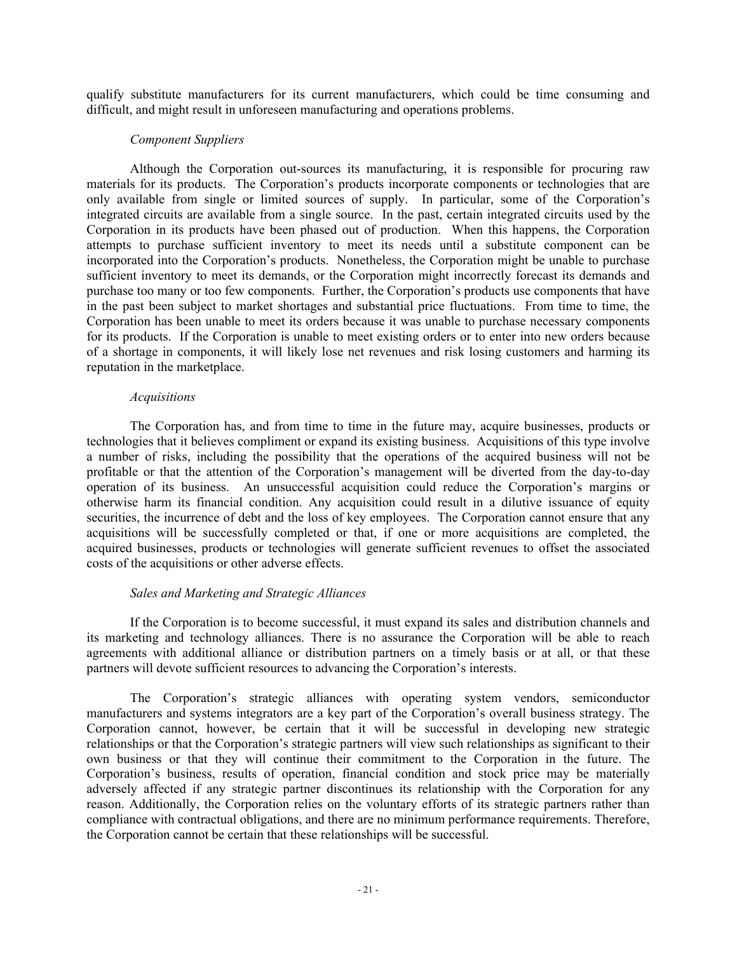qualify substitute manufacturers for its current manufacturers, which could be time consuming and difficult, and might result in unforeseen manufacturing and operations problems.

## *Component Suppliers*

Although the Corporation out-sources its manufacturing, it is responsible for procuring raw materials for its products. The Corporation's products incorporate components or technologies that are only available from single or limited sources of supply. In particular, some of the Corporation's integrated circuits are available from a single source. In the past, certain integrated circuits used by the Corporation in its products have been phased out of production. When this happens, the Corporation attempts to purchase sufficient inventory to meet its needs until a substitute component can be incorporated into the Corporation's products. Nonetheless, the Corporation might be unable to purchase sufficient inventory to meet its demands, or the Corporation might incorrectly forecast its demands and purchase too many or too few components. Further, the Corporation's products use components that have in the past been subject to market shortages and substantial price fluctuations. From time to time, the Corporation has been unable to meet its orders because it was unable to purchase necessary components for its products. If the Corporation is unable to meet existing orders or to enter into new orders because of a shortage in components, it will likely lose net revenues and risk losing customers and harming its reputation in the marketplace.

#### *Acquisitions*

The Corporation has, and from time to time in the future may, acquire businesses, products or technologies that it believes compliment or expand its existing business. Acquisitions of this type involve a number of risks, including the possibility that the operations of the acquired business will not be profitable or that the attention of the Corporation's management will be diverted from the day-to-day operation of its business. An unsuccessful acquisition could reduce the Corporation's margins or otherwise harm its financial condition. Any acquisition could result in a dilutive issuance of equity securities, the incurrence of debt and the loss of key employees. The Corporation cannot ensure that any acquisitions will be successfully completed or that, if one or more acquisitions are completed, the acquired businesses, products or technologies will generate sufficient revenues to offset the associated costs of the acquisitions or other adverse effects.

## *Sales and Marketing and Strategic Alliances*

If the Corporation is to become successful, it must expand its sales and distribution channels and its marketing and technology alliances. There is no assurance the Corporation will be able to reach agreements with additional alliance or distribution partners on a timely basis or at all, or that these partners will devote sufficient resources to advancing the Corporation's interests.

The Corporation's strategic alliances with operating system vendors, semiconductor manufacturers and systems integrators are a key part of the Corporation's overall business strategy. The Corporation cannot, however, be certain that it will be successful in developing new strategic relationships or that the Corporation's strategic partners will view such relationships as significant to their own business or that they will continue their commitment to the Corporation in the future. The Corporation's business, results of operation, financial condition and stock price may be materially adversely affected if any strategic partner discontinues its relationship with the Corporation for any reason. Additionally, the Corporation relies on the voluntary efforts of its strategic partners rather than compliance with contractual obligations, and there are no minimum performance requirements. Therefore, the Corporation cannot be certain that these relationships will be successful.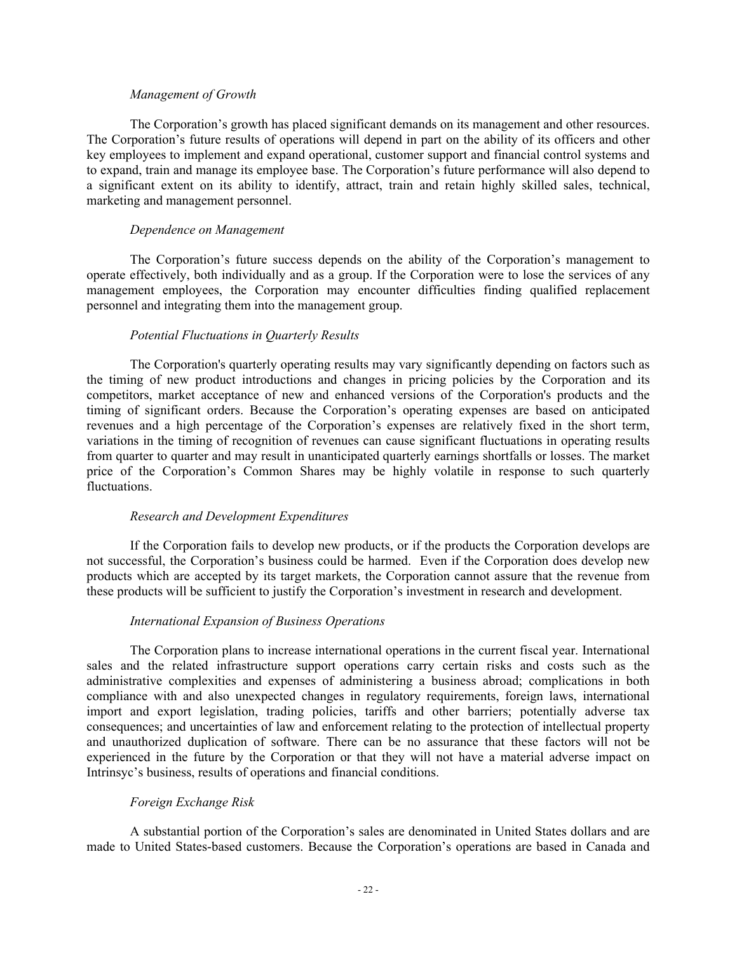## *Management of Growth*

The Corporation's growth has placed significant demands on its management and other resources. The Corporation's future results of operations will depend in part on the ability of its officers and other key employees to implement and expand operational, customer support and financial control systems and to expand, train and manage its employee base. The Corporation's future performance will also depend to a significant extent on its ability to identify, attract, train and retain highly skilled sales, technical, marketing and management personnel.

## *Dependence on Management*

The Corporation's future success depends on the ability of the Corporation's management to operate effectively, both individually and as a group. If the Corporation were to lose the services of any management employees, the Corporation may encounter difficulties finding qualified replacement personnel and integrating them into the management group.

## *Potential Fluctuations in Quarterly Results*

The Corporation's quarterly operating results may vary significantly depending on factors such as the timing of new product introductions and changes in pricing policies by the Corporation and its competitors, market acceptance of new and enhanced versions of the Corporation's products and the timing of significant orders. Because the Corporation's operating expenses are based on anticipated revenues and a high percentage of the Corporation's expenses are relatively fixed in the short term, variations in the timing of recognition of revenues can cause significant fluctuations in operating results from quarter to quarter and may result in unanticipated quarterly earnings shortfalls or losses. The market price of the Corporation's Common Shares may be highly volatile in response to such quarterly fluctuations.

## *Research and Development Expenditures*

If the Corporation fails to develop new products, or if the products the Corporation develops are not successful, the Corporation's business could be harmed. Even if the Corporation does develop new products which are accepted by its target markets, the Corporation cannot assure that the revenue from these products will be sufficient to justify the Corporation's investment in research and development.

## *International Expansion of Business Operations*

The Corporation plans to increase international operations in the current fiscal year. International sales and the related infrastructure support operations carry certain risks and costs such as the administrative complexities and expenses of administering a business abroad; complications in both compliance with and also unexpected changes in regulatory requirements, foreign laws, international import and export legislation, trading policies, tariffs and other barriers; potentially adverse tax consequences; and uncertainties of law and enforcement relating to the protection of intellectual property and unauthorized duplication of software. There can be no assurance that these factors will not be experienced in the future by the Corporation or that they will not have a material adverse impact on Intrinsyc's business, results of operations and financial conditions.

## *Foreign Exchange Risk*

A substantial portion of the Corporation's sales are denominated in United States dollars and are made to United States-based customers. Because the Corporation's operations are based in Canada and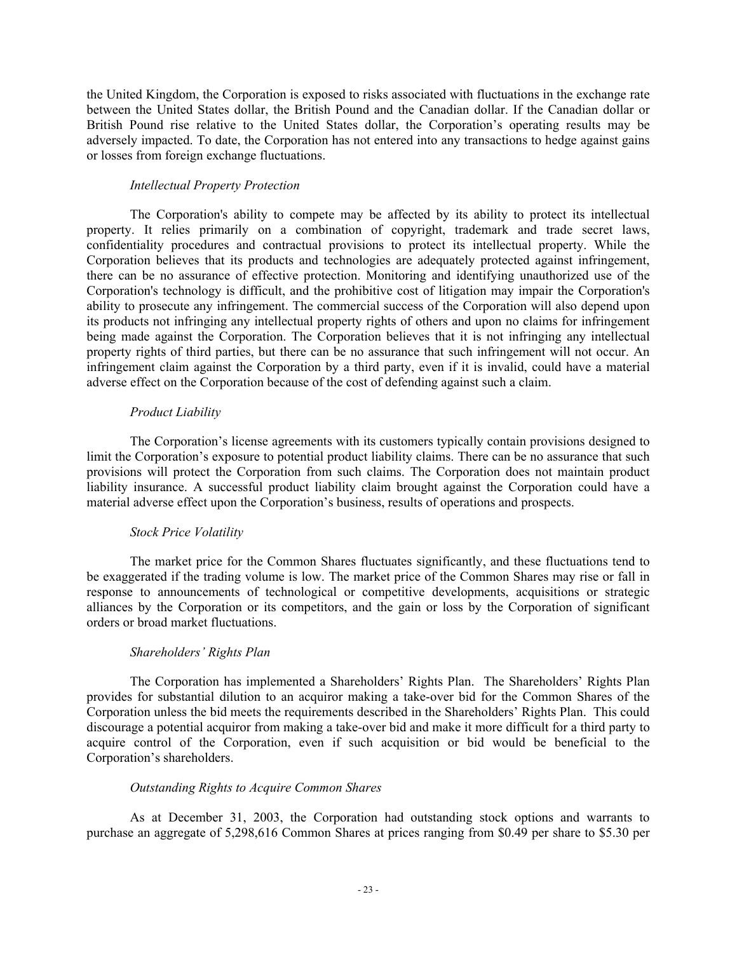the United Kingdom, the Corporation is exposed to risks associated with fluctuations in the exchange rate between the United States dollar, the British Pound and the Canadian dollar. If the Canadian dollar or British Pound rise relative to the United States dollar, the Corporation's operating results may be adversely impacted. To date, the Corporation has not entered into any transactions to hedge against gains or losses from foreign exchange fluctuations.

## *Intellectual Property Protection*

The Corporation's ability to compete may be affected by its ability to protect its intellectual property. It relies primarily on a combination of copyright, trademark and trade secret laws, confidentiality procedures and contractual provisions to protect its intellectual property. While the Corporation believes that its products and technologies are adequately protected against infringement, there can be no assurance of effective protection. Monitoring and identifying unauthorized use of the Corporation's technology is difficult, and the prohibitive cost of litigation may impair the Corporation's ability to prosecute any infringement. The commercial success of the Corporation will also depend upon its products not infringing any intellectual property rights of others and upon no claims for infringement being made against the Corporation. The Corporation believes that it is not infringing any intellectual property rights of third parties, but there can be no assurance that such infringement will not occur. An infringement claim against the Corporation by a third party, even if it is invalid, could have a material adverse effect on the Corporation because of the cost of defending against such a claim.

## *Product Liability*

The Corporation's license agreements with its customers typically contain provisions designed to limit the Corporation's exposure to potential product liability claims. There can be no assurance that such provisions will protect the Corporation from such claims. The Corporation does not maintain product liability insurance. A successful product liability claim brought against the Corporation could have a material adverse effect upon the Corporation's business, results of operations and prospects.

## *Stock Price Volatility*

The market price for the Common Shares fluctuates significantly, and these fluctuations tend to be exaggerated if the trading volume is low. The market price of the Common Shares may rise or fall in response to announcements of technological or competitive developments, acquisitions or strategic alliances by the Corporation or its competitors, and the gain or loss by the Corporation of significant orders or broad market fluctuations.

# *Shareholders' Rights Plan*

The Corporation has implemented a Shareholders' Rights Plan. The Shareholders' Rights Plan provides for substantial dilution to an acquiror making a take-over bid for the Common Shares of the Corporation unless the bid meets the requirements described in the Shareholders' Rights Plan. This could discourage a potential acquiror from making a take-over bid and make it more difficult for a third party to acquire control of the Corporation, even if such acquisition or bid would be beneficial to the Corporation's shareholders.

## *Outstanding Rights to Acquire Common Shares*

As at December 31, 2003, the Corporation had outstanding stock options and warrants to purchase an aggregate of 5,298,616 Common Shares at prices ranging from \$0.49 per share to \$5.30 per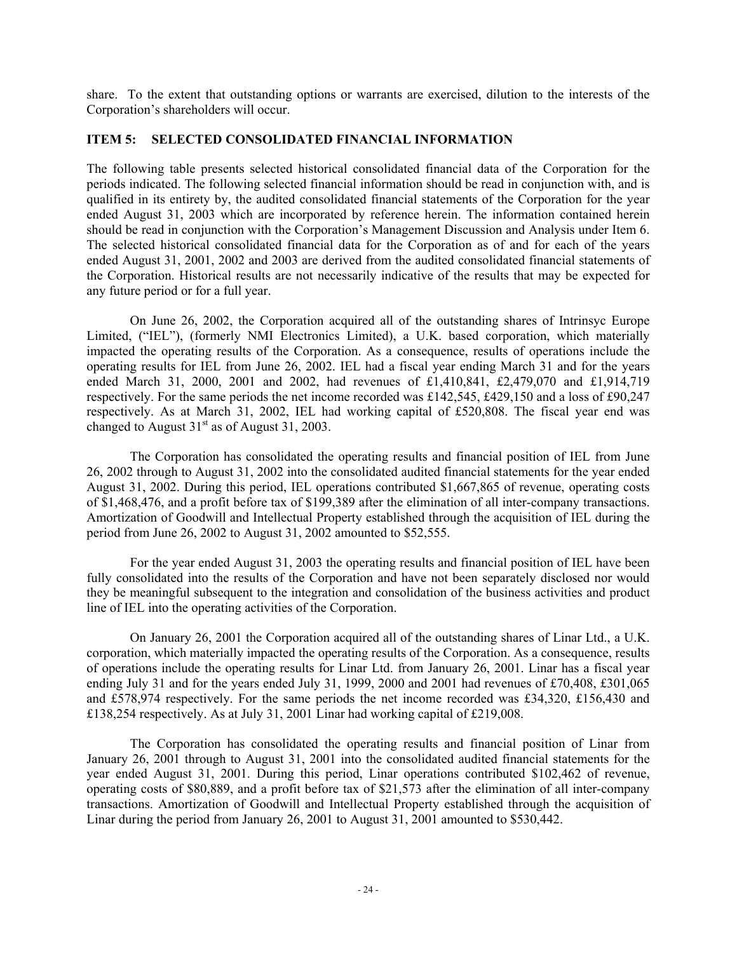share. To the extent that outstanding options or warrants are exercised, dilution to the interests of the Corporation's shareholders will occur.

## **ITEM 5: SELECTED CONSOLIDATED FINANCIAL INFORMATION**

The following table presents selected historical consolidated financial data of the Corporation for the periods indicated. The following selected financial information should be read in conjunction with, and is qualified in its entirety by, the audited consolidated financial statements of the Corporation for the year ended August 31, 2003 which are incorporated by reference herein. The information contained herein should be read in conjunction with the Corporation's Management Discussion and Analysis under Item 6. The selected historical consolidated financial data for the Corporation as of and for each of the years ended August 31, 2001, 2002 and 2003 are derived from the audited consolidated financial statements of the Corporation. Historical results are not necessarily indicative of the results that may be expected for any future period or for a full year.

On June 26, 2002, the Corporation acquired all of the outstanding shares of Intrinsyc Europe Limited, ("IEL"), (formerly NMI Electronics Limited), a U.K. based corporation, which materially impacted the operating results of the Corporation. As a consequence, results of operations include the operating results for IEL from June 26, 2002. IEL had a fiscal year ending March 31 and for the years ended March 31, 2000, 2001 and 2002, had revenues of £1,410,841, £2,479,070 and £1,914,719 respectively. For the same periods the net income recorded was £142,545, £429,150 and a loss of £90,247 respectively. As at March 31, 2002, IEL had working capital of £520,808. The fiscal year end was changed to August  $31<sup>st</sup>$  as of August 31, 2003.

The Corporation has consolidated the operating results and financial position of IEL from June 26, 2002 through to August 31, 2002 into the consolidated audited financial statements for the year ended August 31, 2002. During this period, IEL operations contributed \$1,667,865 of revenue, operating costs of \$1,468,476, and a profit before tax of \$199,389 after the elimination of all inter-company transactions. Amortization of Goodwill and Intellectual Property established through the acquisition of IEL during the period from June 26, 2002 to August 31, 2002 amounted to \$52,555.

For the year ended August 31, 2003 the operating results and financial position of IEL have been fully consolidated into the results of the Corporation and have not been separately disclosed nor would they be meaningful subsequent to the integration and consolidation of the business activities and product line of IEL into the operating activities of the Corporation.

On January 26, 2001 the Corporation acquired all of the outstanding shares of Linar Ltd., a U.K. corporation, which materially impacted the operating results of the Corporation. As a consequence, results of operations include the operating results for Linar Ltd. from January 26, 2001. Linar has a fiscal year ending July 31 and for the years ended July 31, 1999, 2000 and 2001 had revenues of £70,408, £301,065 and £578,974 respectively. For the same periods the net income recorded was £34,320, £156,430 and £138,254 respectively. As at July 31, 2001 Linar had working capital of £219,008.

The Corporation has consolidated the operating results and financial position of Linar from January 26, 2001 through to August 31, 2001 into the consolidated audited financial statements for the year ended August 31, 2001. During this period, Linar operations contributed \$102,462 of revenue, operating costs of \$80,889, and a profit before tax of \$21,573 after the elimination of all inter-company transactions. Amortization of Goodwill and Intellectual Property established through the acquisition of Linar during the period from January 26, 2001 to August 31, 2001 amounted to \$530,442.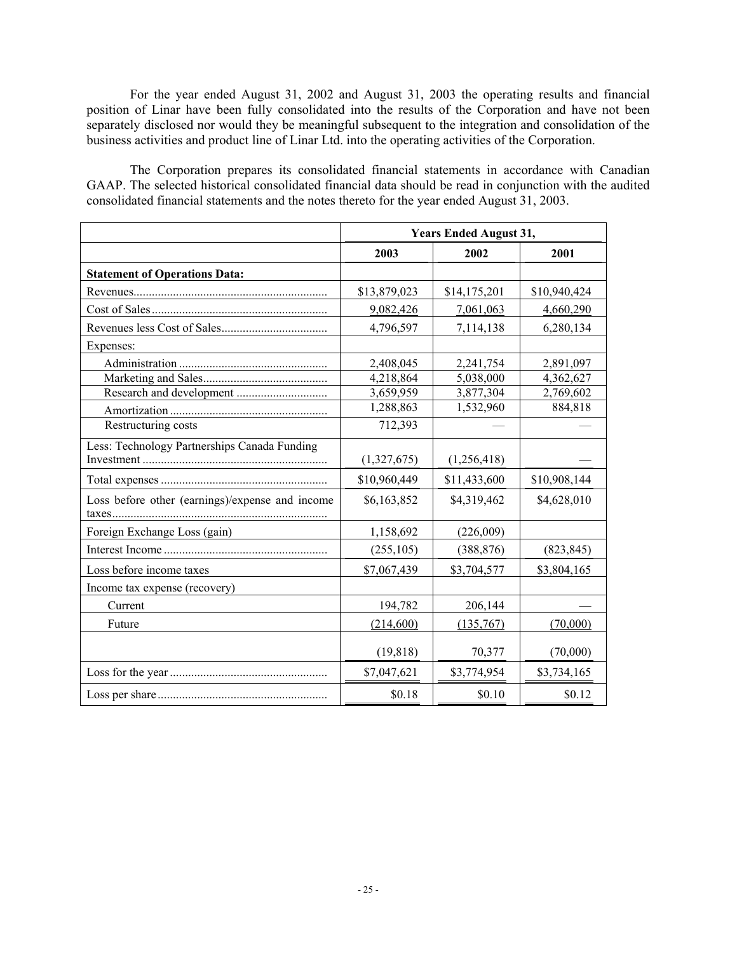For the year ended August 31, 2002 and August 31, 2003 the operating results and financial position of Linar have been fully consolidated into the results of the Corporation and have not been separately disclosed nor would they be meaningful subsequent to the integration and consolidation of the business activities and product line of Linar Ltd. into the operating activities of the Corporation.

The Corporation prepares its consolidated financial statements in accordance with Canadian GAAP. The selected historical consolidated financial data should be read in conjunction with the audited consolidated financial statements and the notes thereto for the year ended August 31, 2003.

|                                                 | <b>Years Ended August 31,</b> |              |              |
|-------------------------------------------------|-------------------------------|--------------|--------------|
|                                                 | 2003                          | 2002         | 2001         |
| <b>Statement of Operations Data:</b>            |                               |              |              |
|                                                 | \$13,879,023                  | \$14,175,201 | \$10,940,424 |
|                                                 | 9,082,426                     | 7,061,063    | 4,660,290    |
|                                                 | 4,796,597                     | 7,114,138    | 6,280,134    |
| Expenses:                                       |                               |              |              |
|                                                 | 2,408,045                     | 2,241,754    | 2,891,097    |
|                                                 | 4,218,864                     | 5,038,000    | 4,362,627    |
|                                                 | 3,659,959                     | 3,877,304    | 2,769,602    |
|                                                 | 1,288,863                     | 1,532,960    | 884,818      |
| Restructuring costs                             | 712,393                       |              |              |
| Less: Technology Partnerships Canada Funding    | (1,327,675)                   | (1,256,418)  |              |
|                                                 | \$10,960,449                  | \$11,433,600 | \$10,908,144 |
| Loss before other (earnings)/expense and income | \$6,163,852                   | \$4,319,462  | \$4,628,010  |
| Foreign Exchange Loss (gain)                    | 1,158,692                     | (226,009)    |              |
|                                                 | (255, 105)                    | (388, 876)   | (823, 845)   |
| Loss before income taxes                        | \$7,067,439                   | \$3,704,577  | \$3,804,165  |
| Income tax expense (recovery)                   |                               |              |              |
| Current                                         | 194,782                       | 206,144      |              |
| Future                                          | (214,600)                     | (135,767)    | (70,000)     |
|                                                 | (19, 818)                     | 70,377       | (70,000)     |
|                                                 | \$7,047,621                   | \$3,774,954  | \$3,734,165  |
|                                                 | \$0.18                        | \$0.10       | \$0.12       |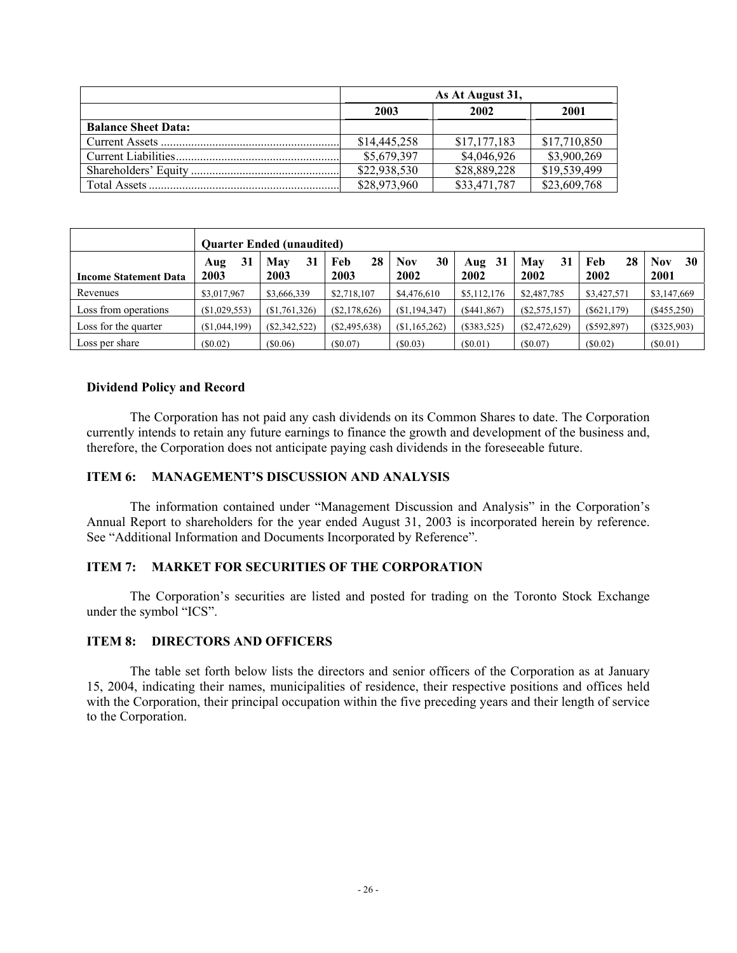|                            | As At August 31, |              |              |  |
|----------------------------|------------------|--------------|--------------|--|
|                            | 2003             | 2002         | 2001         |  |
| <b>Balance Sheet Data:</b> |                  |              |              |  |
|                            | \$14,445,258     | \$17,177,183 | \$17,710,850 |  |
|                            | \$5,679,397      | \$4,046,926  | \$3,900,269  |  |
|                            | \$22,938,530     | \$28,889,228 | \$19,539,499 |  |
|                            | \$28,973,960     | \$33,471,787 | \$23,609,768 |  |

|                              | <b>Ouarter Ended (unaudited)</b> |                   |                   |                   |                   |                   |                   |                          |
|------------------------------|----------------------------------|-------------------|-------------------|-------------------|-------------------|-------------------|-------------------|--------------------------|
| <b>Income Statement Data</b> | 31<br>Aug<br>2003                | 31<br>May<br>2003 | 28<br>Feb<br>2003 | 30<br>Nov<br>2002 | 31<br>Aug<br>2002 | 31<br>May<br>2002 | 28<br>Feb<br>2002 | 30<br><b>Nov</b><br>2001 |
| Revenues                     | \$3,017,967                      | \$3,666,339       | \$2,718,107       | \$4,476,610       | \$5,112,176       | \$2,487,785       | \$3,427,571       | \$3,147,669              |
| Loss from operations         | (\$1,029,553)                    | (S1,761,326)      | (S2, 178, 626)    | (S1, 194, 347)    | ( \$441, 867)     | (S2, 575, 157)    | (S621, 179)       | $(\$455,250)$            |
| Loss for the quarter         | (S1,044,199)                     | (S2, 342, 522)    | (S2, 495, 638)    | (S1, 165, 262)    | (\$383,525)       | $(\$2,472,629)$   | (S592, 897)       | $(\$325,903)$            |
| Loss per share               | (S0.02)                          | (S0.06)           | (S0.07)           | (S0.03)           | (S0.01)           | (S0.07)           | $(\$0.02)$        | (S0.01)                  |

## **Dividend Policy and Record**

The Corporation has not paid any cash dividends on its Common Shares to date. The Corporation currently intends to retain any future earnings to finance the growth and development of the business and, therefore, the Corporation does not anticipate paying cash dividends in the foreseeable future.

## **ITEM 6: MANAGEMENT'S DISCUSSION AND ANALYSIS**

The information contained under "Management Discussion and Analysis" in the Corporation's Annual Report to shareholders for the year ended August 31, 2003 is incorporated herein by reference. See "Additional Information and Documents Incorporated by Reference".

## **ITEM 7: MARKET FOR SECURITIES OF THE CORPORATION**

The Corporation's securities are listed and posted for trading on the Toronto Stock Exchange under the symbol "ICS".

## **ITEM 8: DIRECTORS AND OFFICERS**

The table set forth below lists the directors and senior officers of the Corporation as at January 15, 2004, indicating their names, municipalities of residence, their respective positions and offices held with the Corporation, their principal occupation within the five preceding years and their length of service to the Corporation.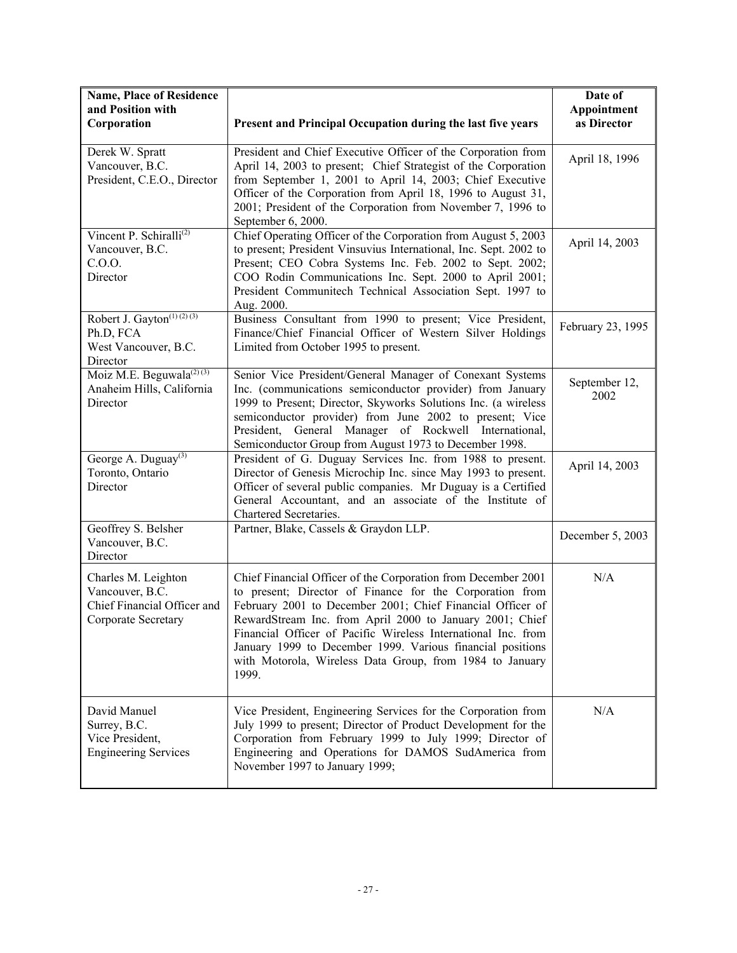| <b>Name, Place of Residence</b><br>and Position with<br>Corporation                          | Present and Principal Occupation during the last five years                                                                                                                                                                                                                                                                                                                                                                                             | Date of<br>Appointment<br>as Director |
|----------------------------------------------------------------------------------------------|---------------------------------------------------------------------------------------------------------------------------------------------------------------------------------------------------------------------------------------------------------------------------------------------------------------------------------------------------------------------------------------------------------------------------------------------------------|---------------------------------------|
| Derek W. Spratt<br>Vancouver, B.C.<br>President, C.E.O., Director                            | President and Chief Executive Officer of the Corporation from<br>April 14, 2003 to present; Chief Strategist of the Corporation<br>from September 1, 2001 to April 14, 2003; Chief Executive<br>Officer of the Corporation from April 18, 1996 to August 31,<br>2001; President of the Corporation from November 7, 1996 to<br>September 6, 2000.                                                                                                       | April 18, 1996                        |
| Vincent P. Schiralli <sup>(2)</sup><br>Vancouver, B.C.<br>C.0.0.<br>Director                 | Chief Operating Officer of the Corporation from August 5, 2003<br>to present; President Vinsuvius International, Inc. Sept. 2002 to<br>Present; CEO Cobra Systems Inc. Feb. 2002 to Sept. 2002;<br>COO Rodin Communications Inc. Sept. 2000 to April 2001;<br>President Communitech Technical Association Sept. 1997 to<br>Aug. 2000.                                                                                                                   | April 14, 2003                        |
| Robert J. Gayton <sup>(1)(2)(3)</sup><br>Ph.D, FCA<br>West Vancouver, B.C.<br>Director       | Business Consultant from 1990 to present; Vice President,<br>Finance/Chief Financial Officer of Western Silver Holdings<br>Limited from October 1995 to present.                                                                                                                                                                                                                                                                                        | February 23, 1995                     |
| Moiz M.E. Beguwala <sup>(2)(3)</sup><br>Anaheim Hills, California<br>Director                | Senior Vice President/General Manager of Conexant Systems<br>Inc. (communications semiconductor provider) from January<br>1999 to Present; Director, Skyworks Solutions Inc. (a wireless<br>semiconductor provider) from June 2002 to present; Vice<br>General Manager of Rockwell International,<br>President,<br>Semiconductor Group from August 1973 to December 1998.                                                                               | September 12,<br>2002                 |
| George A. Duguay <sup>(3)</sup><br>Toronto, Ontario<br>Director                              | President of G. Duguay Services Inc. from 1988 to present.<br>Director of Genesis Microchip Inc. since May 1993 to present.<br>Officer of several public companies. Mr Duguay is a Certified<br>General Accountant, and an associate of the Institute of<br>Chartered Secretaries.                                                                                                                                                                      | April 14, 2003                        |
| Geoffrey S. Belsher<br>Vancouver, B.C.<br>Director                                           | Partner, Blake, Cassels & Graydon LLP.                                                                                                                                                                                                                                                                                                                                                                                                                  | December 5, 2003                      |
| Charles M. Leighton<br>Vancouver, B.C.<br>Chief Financial Officer and<br>Corporate Secretary | Chief Financial Officer of the Corporation from December 2001<br>to present; Director of Finance for the Corporation from<br>February 2001 to December 2001; Chief Financial Officer of<br>RewardStream Inc. from April 2000 to January 2001; Chief<br>Financial Officer of Pacific Wireless International Inc. from<br>January 1999 to December 1999. Various financial positions<br>with Motorola, Wireless Data Group, from 1984 to January<br>1999. | N/A                                   |
| David Manuel<br>Surrey, B.C.<br>Vice President,<br><b>Engineering Services</b>               | Vice President, Engineering Services for the Corporation from<br>July 1999 to present; Director of Product Development for the<br>Corporation from February 1999 to July 1999; Director of<br>Engineering and Operations for DAMOS SudAmerica from<br>November 1997 to January 1999;                                                                                                                                                                    | N/A                                   |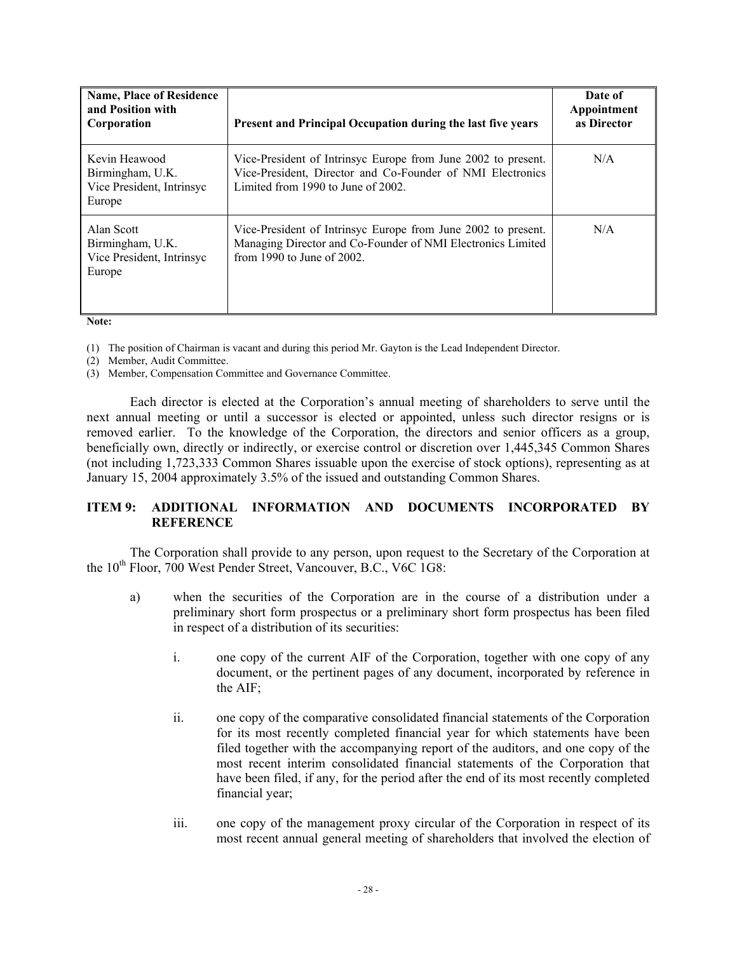| <b>Name, Place of Residence</b><br>and Position with<br>Corporation      | Present and Principal Occupation during the last five years                                                                                                       | Date of<br>Appointment<br>as Director |
|--------------------------------------------------------------------------|-------------------------------------------------------------------------------------------------------------------------------------------------------------------|---------------------------------------|
| Kevin Heawood<br>Birmingham, U.K.<br>Vice President, Intrinsyc<br>Europe | Vice-President of Intrinsyc Europe from June 2002 to present.<br>Vice-President, Director and Co-Founder of NMI Electronics<br>Limited from 1990 to June of 2002. | N/A                                   |
| Alan Scott<br>Birmingham, U.K.<br>Vice President, Intrinsyc<br>Europe    | Vice-President of Intrinsyc Europe from June 2002 to present.<br>Managing Director and Co-Founder of NMI Electronics Limited<br>from 1990 to June of $2002$ .     | N/A                                   |

**Note:** 

(1) The position of Chairman is vacant and during this period Mr. Gayton is the Lead Independent Director.

(2) Member, Audit Committee.

(3) Member, Compensation Committee and Governance Committee.

Each director is elected at the Corporation's annual meeting of shareholders to serve until the next annual meeting or until a successor is elected or appointed, unless such director resigns or is removed earlier. To the knowledge of the Corporation, the directors and senior officers as a group, beneficially own, directly or indirectly, or exercise control or discretion over 1,445,345 Common Shares (not including 1,723,333 Common Shares issuable upon the exercise of stock options), representing as at January 15, 2004 approximately 3.5% of the issued and outstanding Common Shares.

# **ITEM 9: ADDITIONAL INFORMATION AND DOCUMENTS INCORPORATED BY REFERENCE**

The Corporation shall provide to any person, upon request to the Secretary of the Corporation at the 10<sup>th</sup> Floor, 700 West Pender Street, Vancouver, B.C., V6C 1G8:

- a) when the securities of the Corporation are in the course of a distribution under a preliminary short form prospectus or a preliminary short form prospectus has been filed in respect of a distribution of its securities:
	- i. one copy of the current AIF of the Corporation, together with one copy of any document, or the pertinent pages of any document, incorporated by reference in the AIF;
	- ii. one copy of the comparative consolidated financial statements of the Corporation for its most recently completed financial year for which statements have been filed together with the accompanying report of the auditors, and one copy of the most recent interim consolidated financial statements of the Corporation that have been filed, if any, for the period after the end of its most recently completed financial year;
	- iii. one copy of the management proxy circular of the Corporation in respect of its most recent annual general meeting of shareholders that involved the election of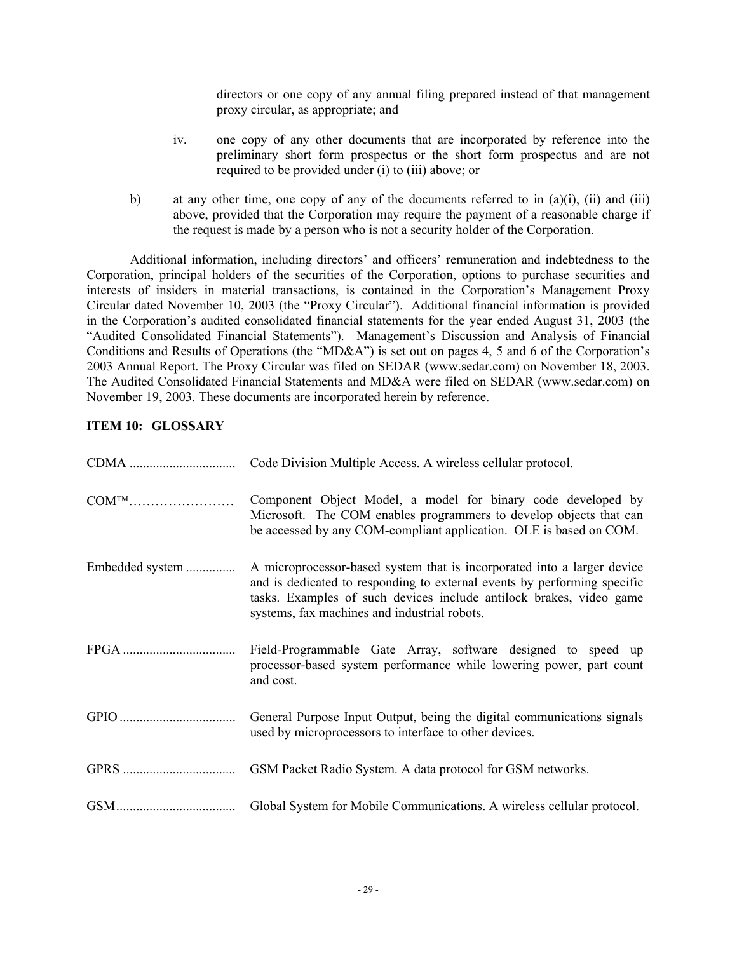directors or one copy of any annual filing prepared instead of that management proxy circular, as appropriate; and

- iv. one copy of any other documents that are incorporated by reference into the preliminary short form prospectus or the short form prospectus and are not required to be provided under (i) to (iii) above; or
- b) at any other time, one copy of any of the documents referred to in  $(a)(i)$ ,  $(ii)$  and  $(iii)$ above, provided that the Corporation may require the payment of a reasonable charge if the request is made by a person who is not a security holder of the Corporation.

Additional information, including directors' and officers' remuneration and indebtedness to the Corporation, principal holders of the securities of the Corporation, options to purchase securities and interests of insiders in material transactions, is contained in the Corporation's Management Proxy Circular dated November 10, 2003 (the "Proxy Circular"). Additional financial information is provided in the Corporation's audited consolidated financial statements for the year ended August 31, 2003 (the "Audited Consolidated Financial Statements"). Management's Discussion and Analysis of Financial Conditions and Results of Operations (the "MD&A") is set out on pages 4, 5 and 6 of the Corporation's 2003 Annual Report. The Proxy Circular was filed on SEDAR (www.sedar.com) on November 18, 2003. The Audited Consolidated Financial Statements and MD&A were filed on SEDAR (www.sedar.com) on November 19, 2003. These documents are incorporated herein by reference.

# **ITEM 10: GLOSSARY**

|                          | Code Division Multiple Access. A wireless cellular protocol.                                                                                                                                                                                                               |
|--------------------------|----------------------------------------------------------------------------------------------------------------------------------------------------------------------------------------------------------------------------------------------------------------------------|
| $\text{COM}^{\text{TM}}$ | Component Object Model, a model for binary code developed by<br>Microsoft. The COM enables programmers to develop objects that can<br>be accessed by any COM-compliant application. OLE is based on COM.                                                                   |
| Embedded system          | A microprocessor-based system that is incorporated into a larger device<br>and is dedicated to responding to external events by performing specific<br>tasks. Examples of such devices include antilock brakes, video game<br>systems, fax machines and industrial robots. |
|                          | Field-Programmable Gate Array, software designed to speed up<br>processor-based system performance while lowering power, part count<br>and cost.                                                                                                                           |
|                          | General Purpose Input Output, being the digital communications signals<br>used by microprocessors to interface to other devices.                                                                                                                                           |
|                          | GSM Packet Radio System. A data protocol for GSM networks.                                                                                                                                                                                                                 |
|                          | Global System for Mobile Communications. A wireless cellular protocol.                                                                                                                                                                                                     |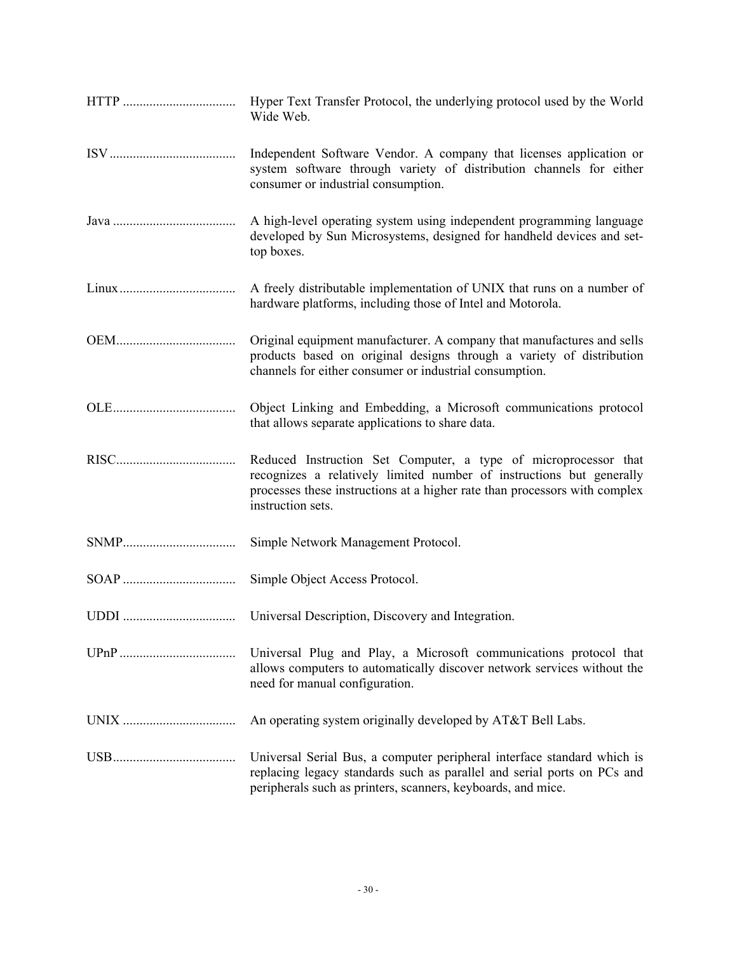Wide Web. ISV...................................... Independent Software Vendor. A company that licenses application or system software through variety of distribution channels for either consumer or industrial consumption. Java ..................................... A high-level operating system using independent programming language developed by Sun Microsystems, designed for handheld devices and settop boxes. Linux................................... A freely distributable implementation of UNIX that runs on a number of hardware platforms, including those of Intel and Motorola. OEM.................................... Original equipment manufacturer. A company that manufactures and sells products based on original designs through a variety of distribution channels for either consumer or industrial consumption. OLE..................................... Object Linking and Embedding, a Microsoft communications protocol that allows separate applications to share data. RISC.................................... Reduced Instruction Set Computer, a type of microprocessor that recognizes a relatively limited number of instructions but generally processes these instructions at a higher rate than processors with complex instruction sets. SNMP.................................. Simple Network Management Protocol. SOAP .................................. Simple Object Access Protocol. UDDI .................................. Universal Description, Discovery and Integration. UPnP ................................... Universal Plug and Play, a Microsoft communications protocol that allows computers to automatically discover network services without the need for manual configuration. UNIX .................................. An operating system originally developed by AT&T Bell Labs. USB..................................... Universal Serial Bus, a computer peripheral interface standard which is replacing legacy standards such as parallel and serial ports on PCs and peripherals such as printers, scanners, keyboards, and mice.

HTTP .................................. Hyper Text Transfer Protocol, the underlying protocol used by the World